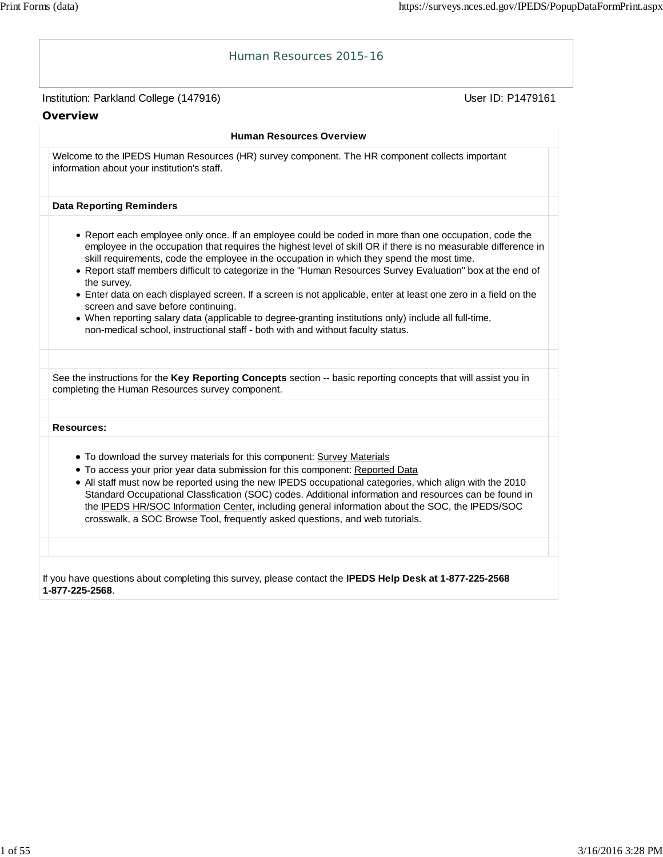| Human Resources 2015-16                                                                                                                                                                                                                                                                                                                                                                                                                                                                                                                                                                                                                                                                                                                                                                                  |
|----------------------------------------------------------------------------------------------------------------------------------------------------------------------------------------------------------------------------------------------------------------------------------------------------------------------------------------------------------------------------------------------------------------------------------------------------------------------------------------------------------------------------------------------------------------------------------------------------------------------------------------------------------------------------------------------------------------------------------------------------------------------------------------------------------|
| Institution: Parkland College (147916)<br>User ID: P1479161                                                                                                                                                                                                                                                                                                                                                                                                                                                                                                                                                                                                                                                                                                                                              |
| Overview                                                                                                                                                                                                                                                                                                                                                                                                                                                                                                                                                                                                                                                                                                                                                                                                 |
| <b>Human Resources Overview</b>                                                                                                                                                                                                                                                                                                                                                                                                                                                                                                                                                                                                                                                                                                                                                                          |
| Welcome to the IPEDS Human Resources (HR) survey component. The HR component collects important<br>information about your institution's staff.                                                                                                                                                                                                                                                                                                                                                                                                                                                                                                                                                                                                                                                           |
| <b>Data Reporting Reminders</b>                                                                                                                                                                                                                                                                                                                                                                                                                                                                                                                                                                                                                                                                                                                                                                          |
| • Report each employee only once. If an employee could be coded in more than one occupation, code the<br>employee in the occupation that requires the highest level of skill OR if there is no measurable difference in<br>skill requirements, code the employee in the occupation in which they spend the most time.<br>. Report staff members difficult to categorize in the "Human Resources Survey Evaluation" box at the end of<br>the survey.<br>• Enter data on each displayed screen. If a screen is not applicable, enter at least one zero in a field on the<br>screen and save before continuing.<br>. When reporting salary data (applicable to degree-granting institutions only) include all full-time,<br>non-medical school, instructional staff - both with and without faculty status. |
|                                                                                                                                                                                                                                                                                                                                                                                                                                                                                                                                                                                                                                                                                                                                                                                                          |
| See the instructions for the Key Reporting Concepts section -- basic reporting concepts that will assist you in<br>completing the Human Resources survey component.                                                                                                                                                                                                                                                                                                                                                                                                                                                                                                                                                                                                                                      |
| <b>Resources:</b>                                                                                                                                                                                                                                                                                                                                                                                                                                                                                                                                                                                                                                                                                                                                                                                        |
| • To download the survey materials for this component: Survey Materials<br>• To access your prior year data submission for this component: Reported Data<br>. All staff must now be reported using the new IPEDS occupational categories, which align with the 2010<br>Standard Occupational Classfication (SOC) codes. Additional information and resources can be found in<br>the IPEDS HR/SOC Information Center, including general information about the SOC, the IPEDS/SOC<br>crosswalk, a SOC Browse Tool, frequently asked questions, and web tutorials.                                                                                                                                                                                                                                          |
| If you have questions about completing this survey, please contact the IPEDS Help Desk at 1-877-225-2568<br>1-877-225-2568.                                                                                                                                                                                                                                                                                                                                                                                                                                                                                                                                                                                                                                                                              |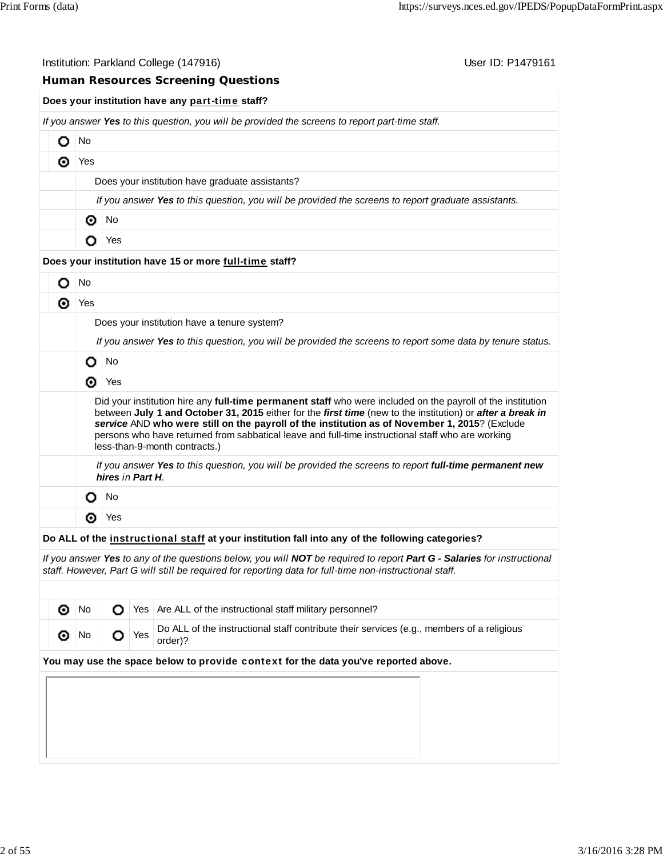|                                             |                                                                                                                                                                                                                                                                                                                                                                                                                                                                  | User ID: P1479161<br>Institution: Parkland College (147916)                                                                                                                                                                        |  |  |  |  |  |  |  |  |
|---------------------------------------------|------------------------------------------------------------------------------------------------------------------------------------------------------------------------------------------------------------------------------------------------------------------------------------------------------------------------------------------------------------------------------------------------------------------------------------------------------------------|------------------------------------------------------------------------------------------------------------------------------------------------------------------------------------------------------------------------------------|--|--|--|--|--|--|--|--|
|                                             |                                                                                                                                                                                                                                                                                                                                                                                                                                                                  | <b>Human Resources Screening Questions</b>                                                                                                                                                                                         |  |  |  |  |  |  |  |  |
|                                             |                                                                                                                                                                                                                                                                                                                                                                                                                                                                  | Does your institution have any part-time staff?                                                                                                                                                                                    |  |  |  |  |  |  |  |  |
|                                             |                                                                                                                                                                                                                                                                                                                                                                                                                                                                  | If you answer Yes to this question, you will be provided the screens to report part-time staff.                                                                                                                                    |  |  |  |  |  |  |  |  |
| О                                           | No                                                                                                                                                                                                                                                                                                                                                                                                                                                               |                                                                                                                                                                                                                                    |  |  |  |  |  |  |  |  |
| ⊙                                           | Yes                                                                                                                                                                                                                                                                                                                                                                                                                                                              |                                                                                                                                                                                                                                    |  |  |  |  |  |  |  |  |
|                                             | Does your institution have graduate assistants?                                                                                                                                                                                                                                                                                                                                                                                                                  |                                                                                                                                                                                                                                    |  |  |  |  |  |  |  |  |
|                                             | If you answer Yes to this question, you will be provided the screens to report graduate assistants.                                                                                                                                                                                                                                                                                                                                                              |                                                                                                                                                                                                                                    |  |  |  |  |  |  |  |  |
|                                             | ⊛                                                                                                                                                                                                                                                                                                                                                                                                                                                                | No                                                                                                                                                                                                                                 |  |  |  |  |  |  |  |  |
|                                             | o                                                                                                                                                                                                                                                                                                                                                                                                                                                                | Yes                                                                                                                                                                                                                                |  |  |  |  |  |  |  |  |
|                                             |                                                                                                                                                                                                                                                                                                                                                                                                                                                                  | Does your institution have 15 or more full-time staff?                                                                                                                                                                             |  |  |  |  |  |  |  |  |
| о                                           | <b>No</b>                                                                                                                                                                                                                                                                                                                                                                                                                                                        |                                                                                                                                                                                                                                    |  |  |  |  |  |  |  |  |
| ⊙                                           | Yes                                                                                                                                                                                                                                                                                                                                                                                                                                                              |                                                                                                                                                                                                                                    |  |  |  |  |  |  |  |  |
| Does your institution have a tenure system? |                                                                                                                                                                                                                                                                                                                                                                                                                                                                  |                                                                                                                                                                                                                                    |  |  |  |  |  |  |  |  |
|                                             |                                                                                                                                                                                                                                                                                                                                                                                                                                                                  | If you answer Yes to this question, you will be provided the screens to report some data by tenure status.                                                                                                                         |  |  |  |  |  |  |  |  |
|                                             | О                                                                                                                                                                                                                                                                                                                                                                                                                                                                | No                                                                                                                                                                                                                                 |  |  |  |  |  |  |  |  |
|                                             | ◉                                                                                                                                                                                                                                                                                                                                                                                                                                                                | Yes                                                                                                                                                                                                                                |  |  |  |  |  |  |  |  |
|                                             | Did your institution hire any full-time permanent staff who were included on the payroll of the institution<br>between July 1 and October 31, 2015 either for the first time (new to the institution) or after a break in<br>service AND who were still on the payroll of the institution as of November 1, 2015? (Exclude<br>persons who have returned from sabbatical leave and full-time instructional staff who are working<br>less-than-9-month contracts.) |                                                                                                                                                                                                                                    |  |  |  |  |  |  |  |  |
|                                             |                                                                                                                                                                                                                                                                                                                                                                                                                                                                  | If you answer Yes to this question, you will be provided the screens to report full-time permanent new<br>hires in Part H.                                                                                                         |  |  |  |  |  |  |  |  |
|                                             | O                                                                                                                                                                                                                                                                                                                                                                                                                                                                | No                                                                                                                                                                                                                                 |  |  |  |  |  |  |  |  |
|                                             | ⊙                                                                                                                                                                                                                                                                                                                                                                                                                                                                | Yes                                                                                                                                                                                                                                |  |  |  |  |  |  |  |  |
|                                             |                                                                                                                                                                                                                                                                                                                                                                                                                                                                  | Do ALL of the instructional staff at your institution fall into any of the following categories?                                                                                                                                   |  |  |  |  |  |  |  |  |
|                                             |                                                                                                                                                                                                                                                                                                                                                                                                                                                                  | If you answer Yes to any of the questions below, you will NOT be required to report Part G - Salaries for instructional<br>staff. However, Part G will still be required for reporting data for full-time non-instructional staff. |  |  |  |  |  |  |  |  |
|                                             |                                                                                                                                                                                                                                                                                                                                                                                                                                                                  |                                                                                                                                                                                                                                    |  |  |  |  |  |  |  |  |

| ⊙                                                                                  | No.       |       |  | ◯ Yes   Are ALL of the instructional staff military personnel?                                       |  |  |  |  |  |
|------------------------------------------------------------------------------------|-----------|-------|--|------------------------------------------------------------------------------------------------------|--|--|--|--|--|
| ⊛                                                                                  | <b>No</b> | O Yes |  | Do ALL of the instructional staff contribute their services (e.g., members of a religious<br>order)? |  |  |  |  |  |
| You may use the space below to provide context for the data you've reported above. |           |       |  |                                                                                                      |  |  |  |  |  |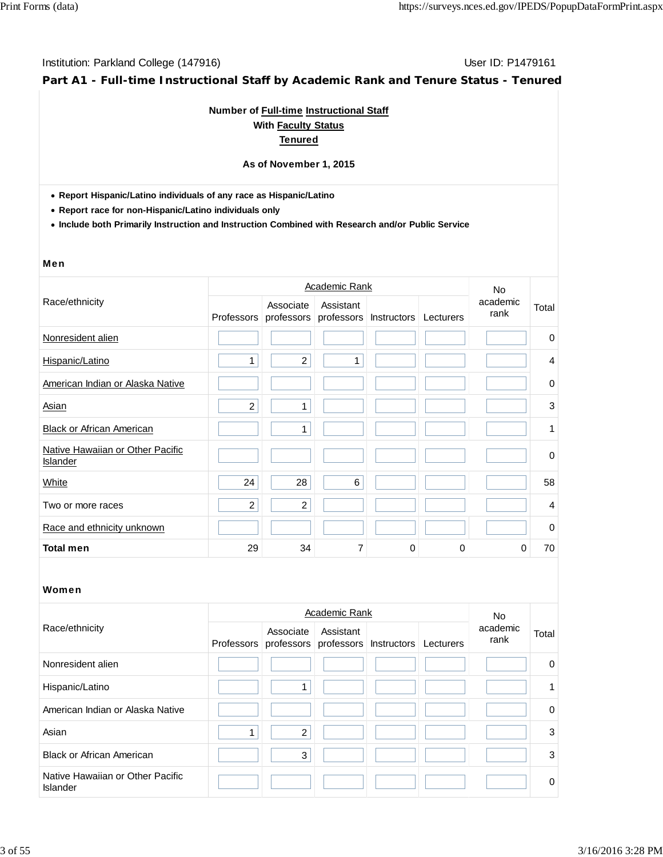**Part A1 - Full-time Instructional Staff by Academic Rank and Tenure Status - Tenured**

## **Number of Full-time Instructional Staff With Faculty Status Tenured**

## **As of November 1, 2015**

**Report Hispanic/Latino individuals of any race as Hispanic/Latino**

**Report race for non-Hispanic/Latino individuals only**

**Include both Primarily Instruction and Instruction Combined with Research and/or Public Service**

#### Men

|                                              |                |                | No.                                |             |           |                  |                |
|----------------------------------------------|----------------|----------------|------------------------------------|-------------|-----------|------------------|----------------|
| Race/ethnicity                               | Professors     | Associate      | Assistant<br>professors professors | Instructors | Lecturers | academic<br>rank | Total          |
| Nonresident alien                            |                |                |                                    |             |           |                  | 0              |
| Hispanic/Latino                              | 1              | $\overline{2}$ | 1                                  |             |           |                  | 4              |
| American Indian or Alaska Native             |                |                |                                    |             |           |                  | 0              |
| Asian                                        | $\overline{c}$ | $\mathbf{1}$   |                                    |             |           |                  | 3              |
| <b>Black or African American</b>             |                | 1              |                                    |             |           |                  | 1              |
| Native Hawaiian or Other Pacific<br>Islander |                |                |                                    |             |           |                  | $\pmb{0}$      |
| White                                        | 24             | 28             | 6                                  |             |           |                  | 58             |
| Two or more races                            | $\overline{c}$ | $\overline{c}$ |                                    |             |           |                  | $\overline{4}$ |
| Race and ethnicity unknown                   |                |                |                                    |             |           |                  | $\mathbf 0$    |
| <b>Total men</b>                             | 29             | 34             | 7                                  | $\Omega$    | 0         | $\Omega$         | 70             |

|                                              |            | No.            |                                                          |  |                  |          |
|----------------------------------------------|------------|----------------|----------------------------------------------------------|--|------------------|----------|
| Race/ethnicity                               | Professors | Associate      | Assistant<br>professors professors Instructors Lecturers |  | academic<br>rank | Total    |
| Nonresident alien                            |            |                |                                                          |  |                  | $\Omega$ |
| Hispanic/Latino                              |            |                |                                                          |  |                  | 1.       |
| American Indian or Alaska Native             |            |                |                                                          |  |                  | $\Omega$ |
| Asian                                        |            | $\overline{2}$ |                                                          |  |                  | 3        |
| <b>Black or African American</b>             |            | 3              |                                                          |  |                  | 3        |
| Native Hawaiian or Other Pacific<br>Islander |            |                |                                                          |  |                  | $\Omega$ |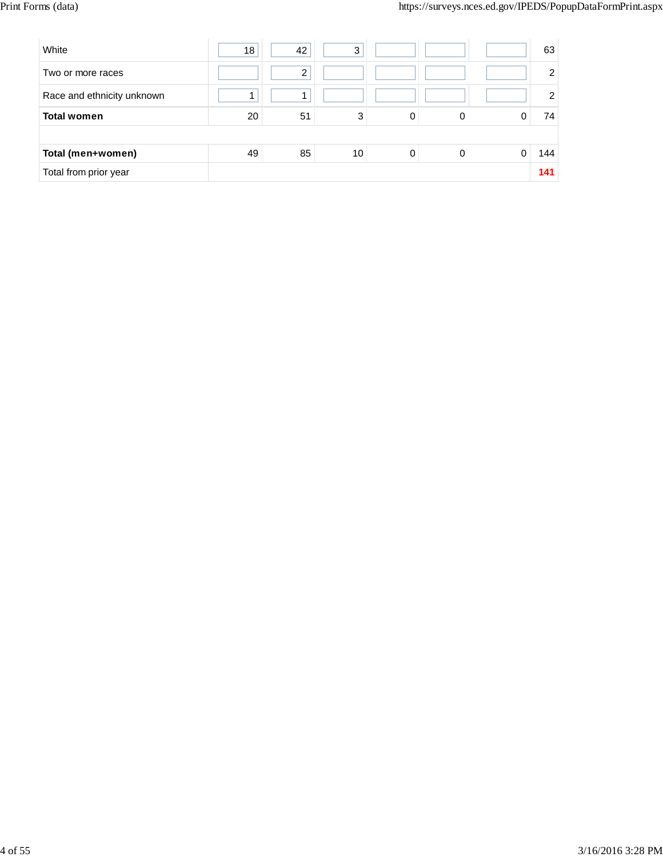| White                      | 18 | 42 | 3  |   |   | 63             |
|----------------------------|----|----|----|---|---|----------------|
| Two or more races          |    | 2  |    |   |   | $\overline{2}$ |
| Race and ethnicity unknown |    |    |    |   |   | $\overline{2}$ |
| <b>Total women</b>         | 20 | 51 | 3  | 0 | 0 | 74             |
|                            |    |    |    |   |   |                |
| Total (men+women)          | 49 | 85 | 10 | 0 |   | 144            |
| Total from prior year      |    |    |    |   |   | 141            |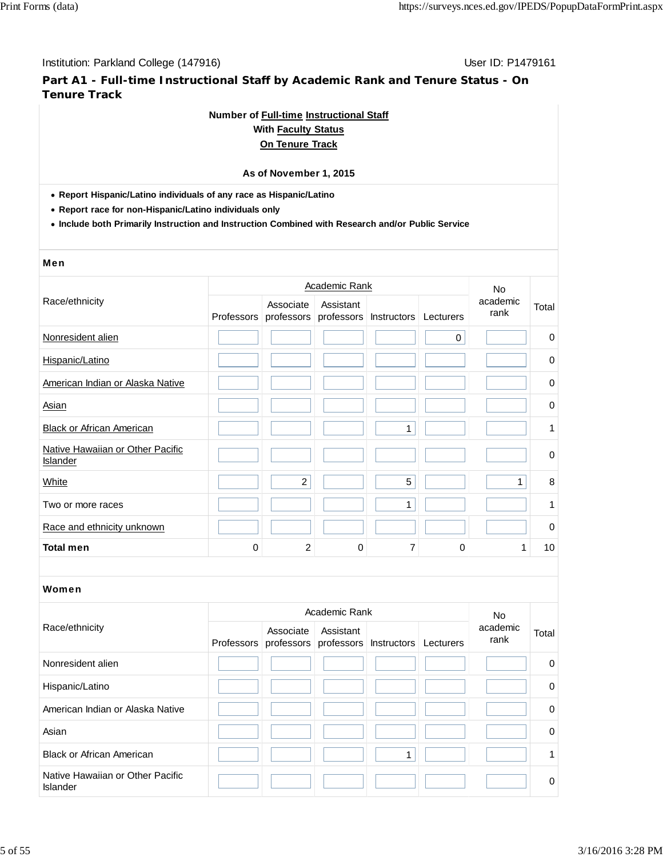**Part A1 - Full-time Instructional Staff by Academic Rank and Tenure Status - On Tenure Track**

## **Number of Full-time Instructional Staff**

## **With Faculty Status On Tenure Track**

## **As of November 1, 2015**

**Report Hispanic/Latino individuals of any race as Hispanic/Latino**

**Report race for non-Hispanic/Latino individuals only**

**Include both Primarily Instruction and Instruction Combined with Research and/or Public Service**

#### Men

|                                                     |             |                | <b>Academic Rank</b> |                                             |   | No<br>academic<br>rank |             |
|-----------------------------------------------------|-------------|----------------|----------------------|---------------------------------------------|---|------------------------|-------------|
| Race/ethnicity                                      | Professors  | Associate      | Assistant            | professors professors Instructors Lecturers |   |                        | Total       |
| Nonresident alien                                   |             |                |                      |                                             | 0 |                        | $\pmb{0}$   |
| Hispanic/Latino                                     |             |                |                      |                                             |   |                        | 0           |
| American Indian or Alaska Native                    |             |                |                      |                                             |   |                        | 0           |
| Asian                                               |             |                |                      |                                             |   |                        | $\pmb{0}$   |
| <b>Black or African American</b>                    |             |                |                      | 1                                           |   |                        | 1           |
| Native Hawaiian or Other Pacific<br><b>Islander</b> |             |                |                      |                                             |   |                        | $\pmb{0}$   |
| White                                               |             | $\overline{c}$ |                      | 5                                           |   | 1                      | 8           |
| Two or more races                                   |             |                |                      | 1                                           |   |                        | 1           |
| Race and ethnicity unknown                          |             |                |                      |                                             |   |                        | $\mathbf 0$ |
| <b>Total men</b>                                    | $\mathbf 0$ | $\overline{c}$ | 0                    | 7                                           | 0 | 1                      | 10          |
|                                                     |             |                |                      |                                             |   |                        |             |
| Women                                               |             |                |                      |                                             |   |                        |             |

|                                                     |            | <b>No</b> |                                                          |  |                  |             |
|-----------------------------------------------------|------------|-----------|----------------------------------------------------------|--|------------------|-------------|
| Race/ethnicity                                      | Professors | Associate | Assistant<br>professors professors Instructors Lecturers |  | academic<br>rank | Total       |
| Nonresident alien                                   |            |           |                                                          |  |                  | $\mathbf 0$ |
| Hispanic/Latino                                     |            |           |                                                          |  |                  | $\mathbf 0$ |
| American Indian or Alaska Native                    |            |           |                                                          |  |                  | $\mathbf 0$ |
| Asian                                               |            |           |                                                          |  |                  | $\Omega$    |
| <b>Black or African American</b>                    |            |           |                                                          |  |                  | 1           |
| Native Hawaiian or Other Pacific<br><b>Islander</b> |            |           |                                                          |  |                  | $\mathbf 0$ |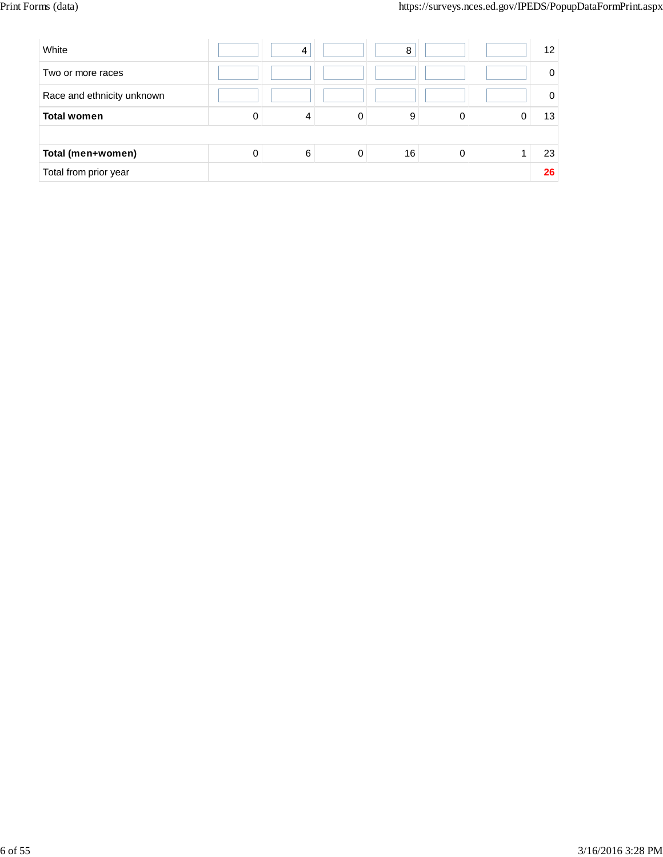| White                      |          | 4 |   | 8  |   | $12 \overline{ }$ |
|----------------------------|----------|---|---|----|---|-------------------|
| Two or more races          |          |   |   |    |   | $\Omega$          |
| Race and ethnicity unknown |          |   |   |    |   | 0                 |
| <b>Total women</b>         | 0        | 4 | 0 | 9  | 0 | 13                |
|                            |          |   |   |    |   |                   |
| Total (men+women)          | $\Omega$ | 6 | 0 | 16 | 0 | 23                |
| Total from prior year      |          |   |   |    |   | 26                |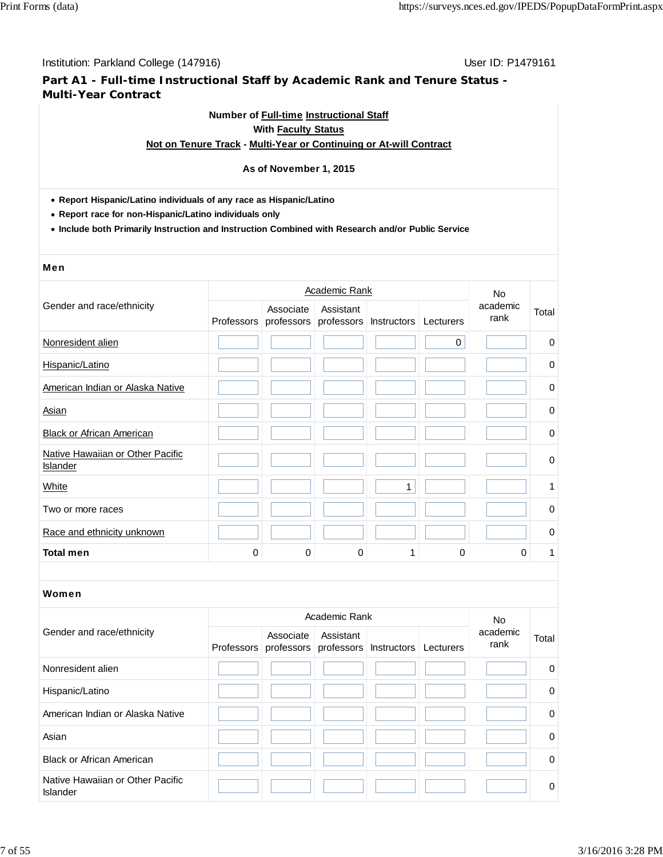**Part A1 - Full-time Instructional Staff by Academic Rank and Tenure Status - Multi-Year Contract**

## **Number of Full-time Instructional Staff With Faculty Status**

## **Not on Tenure Track - Multi-Year or Continuing or At-will Contract**

## **As of November 1, 2015**

- **Report Hispanic/Latino individuals of any race as Hispanic/Latino**
- **Report race for non-Hispanic/Latino individuals only**
- **Include both Primarily Instruction and Instruction Combined with Research and/or Public Service**

#### Men

|                                              |            |             | <b>Academic Rank</b> |                                             |             | No<br>academic<br>rank |             |  |
|----------------------------------------------|------------|-------------|----------------------|---------------------------------------------|-------------|------------------------|-------------|--|
| Gender and race/ethnicity                    | Professors | Associate   | Assistant            | professors professors Instructors Lecturers |             |                        | Total       |  |
| Nonresident alien                            |            |             |                      |                                             | $\mathbf 0$ |                        | $\mathbf 0$ |  |
| Hispanic/Latino                              |            |             |                      |                                             |             |                        | $\mathbf 0$ |  |
| American Indian or Alaska Native             |            |             |                      |                                             |             |                        | 0           |  |
| Asian                                        |            |             |                      |                                             |             |                        | $\pmb{0}$   |  |
| <b>Black or African American</b>             |            |             |                      |                                             |             |                        | $\pmb{0}$   |  |
| Native Hawaiian or Other Pacific<br>Islander |            |             |                      |                                             |             |                        | $\pmb{0}$   |  |
| <b>White</b>                                 |            |             |                      | $\mathbf{1}$                                |             |                        | 1           |  |
| Two or more races                            |            |             |                      |                                             |             |                        | $\mathbf 0$ |  |
| Race and ethnicity unknown                   |            |             |                      |                                             |             |                        | 0           |  |
| <b>Total men</b>                             | 0          | $\mathbf 0$ | 0                    |                                             | 0           | 0                      | 1           |  |
|                                              |            |             |                      |                                             |             |                        |             |  |

|                                              |            | No.       |           |                                             |  |                  |          |
|----------------------------------------------|------------|-----------|-----------|---------------------------------------------|--|------------------|----------|
| Gender and race/ethnicity                    | Professors | Associate | Assistant | professors professors Instructors Lecturers |  | academic<br>rank | Total    |
| Nonresident alien                            |            |           |           |                                             |  |                  | 0        |
| Hispanic/Latino                              |            |           |           |                                             |  |                  | $\Omega$ |
| American Indian or Alaska Native             |            |           |           |                                             |  |                  | $\Omega$ |
| Asian                                        |            |           |           |                                             |  |                  | $\Omega$ |
| <b>Black or African American</b>             |            |           |           |                                             |  |                  | $\Omega$ |
| Native Hawaiian or Other Pacific<br>Islander |            |           |           |                                             |  |                  | $\Omega$ |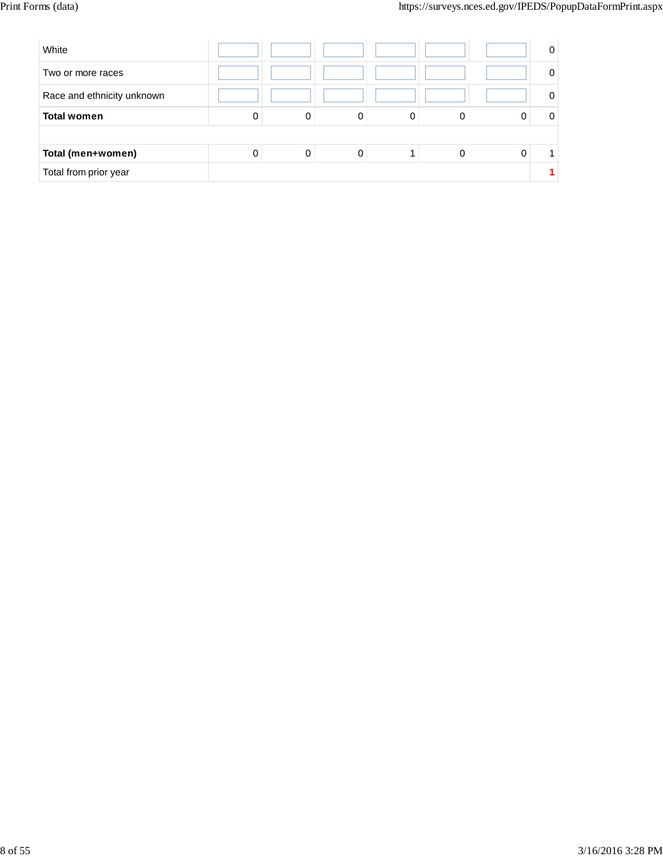| White                      |   |   |   |   |  | 0 |
|----------------------------|---|---|---|---|--|---|
| Two or more races          |   |   |   |   |  | 0 |
| Race and ethnicity unknown |   |   |   |   |  | 0 |
| <b>Total women</b>         | 0 | 0 | 0 | 0 |  | 0 |
|                            |   |   |   |   |  |   |
| Total (men+women)          | 0 | 0 | 0 |   |  |   |
| Total from prior year      |   |   |   |   |  |   |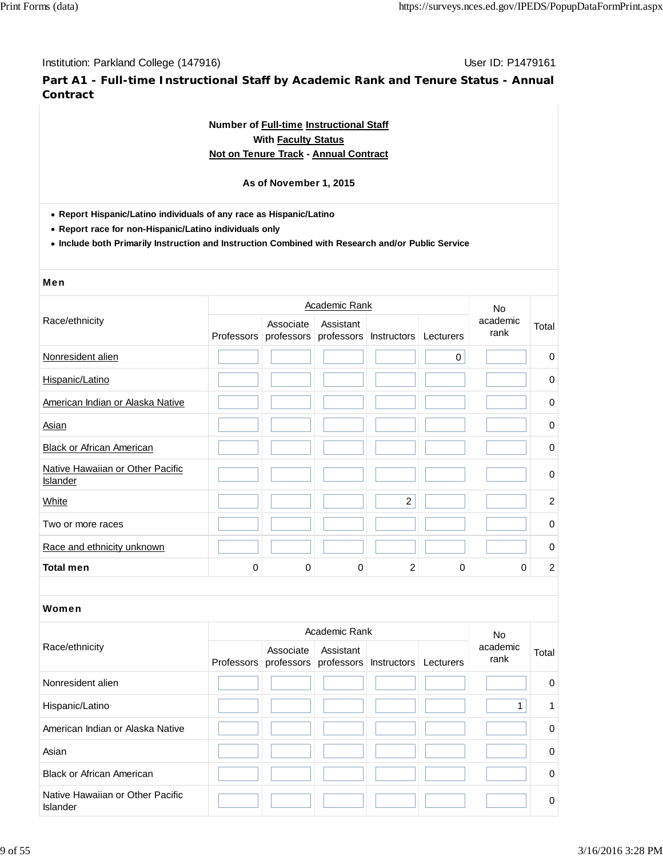**Part A1 - Full-time Instructional Staff by Academic Rank and Tenure Status - Annual Contract**

## **Number of Full-time Instructional Staff With Faculty Status Not on Tenure Track - Annual Contract**

## **As of November 1, 2015**

**Report Hispanic/Latino individuals of any race as Hispanic/Latino**

**Report race for non-Hispanic/Latino individuals only**

**Include both Primarily Instruction and Instruction Combined with Research and/or Public Service**

## Men

|                                              |            |           | <b>No</b> |                                   |           |                  |                |
|----------------------------------------------|------------|-----------|-----------|-----------------------------------|-----------|------------------|----------------|
| Race/ethnicity                               | Professors | Associate | Assistant | professors professors Instructors | Lecturers | academic<br>rank | Total          |
| Nonresident alien                            |            |           |           |                                   | 0         |                  | $\mathbf 0$    |
| Hispanic/Latino                              |            |           |           |                                   |           |                  | $\mathbf 0$    |
| American Indian or Alaska Native             |            |           |           |                                   |           |                  | 0              |
| Asian                                        |            |           |           |                                   |           |                  | $\mathbf 0$    |
| <b>Black or African American</b>             |            |           |           |                                   |           |                  | $\mathbf 0$    |
| Native Hawaiian or Other Pacific<br>Islander |            |           |           |                                   |           |                  | $\pmb{0}$      |
| White                                        |            |           |           | $\overline{2}$                    |           |                  | $\overline{2}$ |
| Two or more races                            |            |           |           |                                   |           |                  | 0              |
| Race and ethnicity unknown                   |            |           |           |                                   |           |                  | $\mathbf 0$    |
| <b>Total men</b>                             | 0          | $\Omega$  | 0         | 2                                 | 0         | 0                | $\overline{c}$ |

|                                                     |  | <b>No</b>                                                           |           |  |                  |          |
|-----------------------------------------------------|--|---------------------------------------------------------------------|-----------|--|------------------|----------|
| Race/ethnicity                                      |  | Associate<br>Professors professors professors Instructors Lecturers | Assistant |  | academic<br>rank | Total    |
| Nonresident alien                                   |  |                                                                     |           |  |                  | $\Omega$ |
| Hispanic/Latino                                     |  |                                                                     |           |  |                  |          |
| American Indian or Alaska Native                    |  |                                                                     |           |  |                  | $\Omega$ |
| Asian                                               |  |                                                                     |           |  |                  | $\Omega$ |
| <b>Black or African American</b>                    |  |                                                                     |           |  |                  | $\Omega$ |
| Native Hawaiian or Other Pacific<br><b>Islander</b> |  |                                                                     |           |  |                  | $\Omega$ |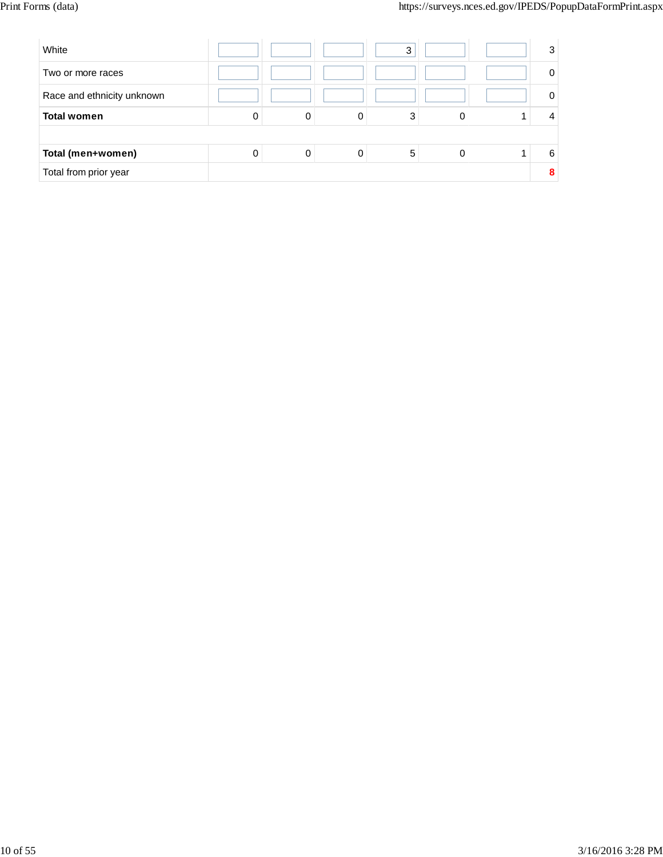| White                      |   |   |   | 3 |   | 3 |
|----------------------------|---|---|---|---|---|---|
| Two or more races          |   |   |   |   |   | 0 |
| Race and ethnicity unknown |   |   |   |   |   | 0 |
| <b>Total women</b>         | 0 | 0 | 0 | 3 |   |   |
|                            |   |   |   |   |   |   |
| Total (men+women)          | 0 | 0 | 0 | 5 | 0 | 6 |
| Total from prior year      |   |   |   |   |   | 8 |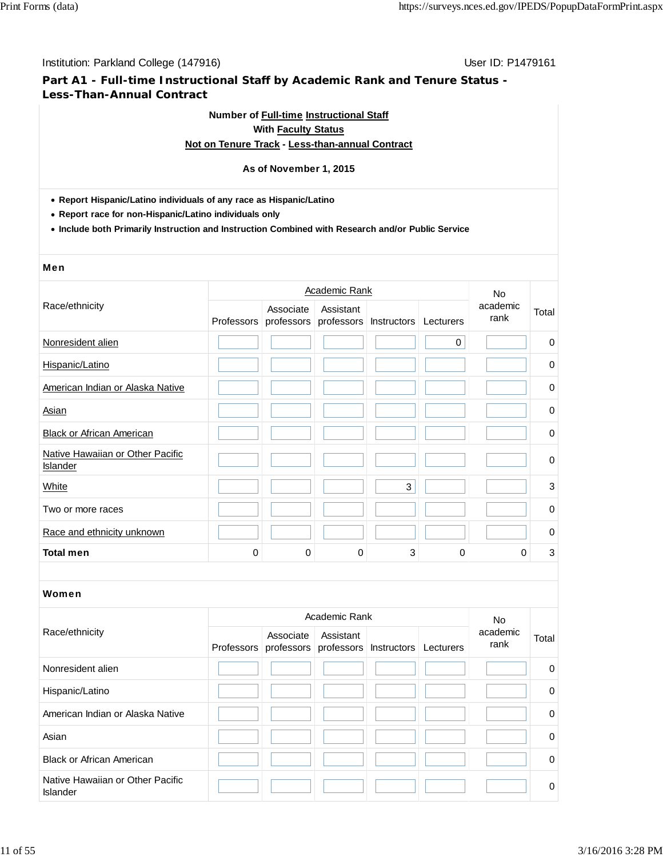## **Part A1 - Full-time Instructional Staff by Academic Rank and Tenure Status - Less-Than-Annual Contract**

## **Number of Full-time Instructional Staff With Faculty Status Not on Tenure Track - Less-than-annual Contract**

## **As of November 1, 2015**

## **Report Hispanic/Latino individuals of any race as Hispanic/Latino**

**Report race for non-Hispanic/Latino individuals only**

**Include both Primarily Instruction and Instruction Combined with Research and/or Public Service**

#### Men

|                                              |             | <b>Academic Rank</b> |           |                                             |   |                  |             |  |
|----------------------------------------------|-------------|----------------------|-----------|---------------------------------------------|---|------------------|-------------|--|
| Race/ethnicity                               | Professors  | Associate            | Assistant | professors professors Instructors Lecturers |   | academic<br>rank | Total       |  |
| Nonresident alien                            |             |                      |           |                                             | 0 |                  | $\pmb{0}$   |  |
| Hispanic/Latino                              |             |                      |           |                                             |   |                  | 0           |  |
| American Indian or Alaska Native             |             |                      |           |                                             |   |                  | 0           |  |
| Asian                                        |             |                      |           |                                             |   |                  | 0           |  |
| <b>Black or African American</b>             |             |                      |           |                                             |   |                  | $\mathbf 0$ |  |
| Native Hawaiian or Other Pacific<br>Islander |             |                      |           |                                             |   |                  | $\pmb{0}$   |  |
| White                                        |             |                      |           | 3                                           |   |                  | $\sqrt{3}$  |  |
| Two or more races                            |             |                      |           |                                             |   |                  | $\mathbf 0$ |  |
| Race and ethnicity unknown                   |             |                      |           |                                             |   |                  | 0           |  |
| <b>Total men</b>                             | $\mathbf 0$ | 0                    | 0         | 3                                           | 0 | 0                | 3           |  |

|                                              |            | Academic Rank |                                                |  |           |                               |              |
|----------------------------------------------|------------|---------------|------------------------------------------------|--|-----------|-------------------------------|--------------|
| Race/ethnicity                               | Professors | Associate     | Assistant<br>professors professors Instructors |  | Lecturers | <b>No</b><br>academic<br>rank | Total        |
| Nonresident alien                            |            |               |                                                |  |           |                               | $\Omega$     |
| Hispanic/Latino                              |            |               |                                                |  |           |                               | $\mathbf 0$  |
| American Indian or Alaska Native             |            |               |                                                |  |           |                               | $\Omega$     |
| Asian                                        |            |               |                                                |  |           |                               | $\mathbf{0}$ |
| <b>Black or African American</b>             |            |               |                                                |  |           |                               | $\Omega$     |
| Native Hawaiian or Other Pacific<br>Islander |            |               |                                                |  |           |                               | 0            |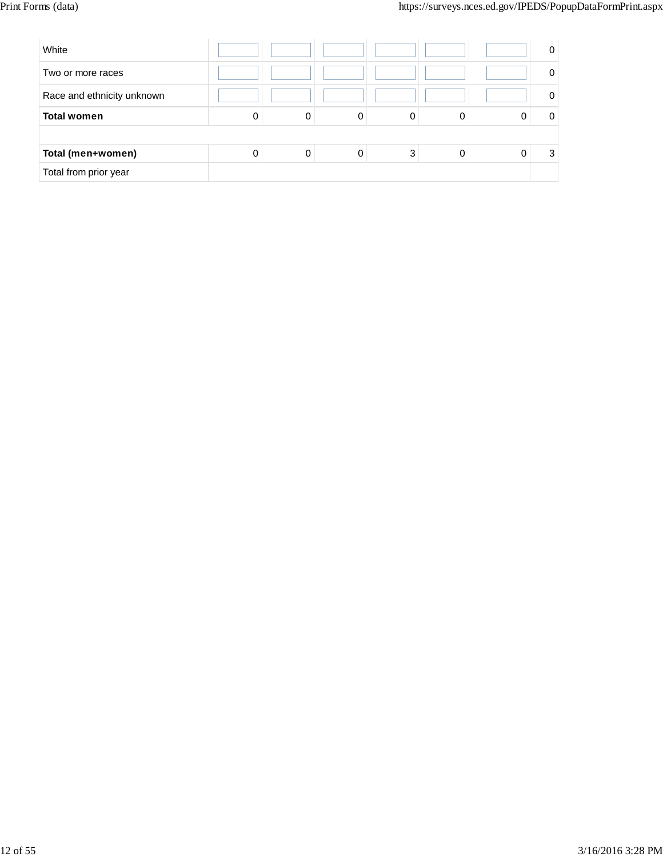| White                      |   |   |   |   |   | 0 |
|----------------------------|---|---|---|---|---|---|
| Two or more races          |   |   |   |   |   |   |
| Race and ethnicity unknown |   |   |   |   |   |   |
| <b>Total women</b>         | 0 | 0 | 0 | 0 | 0 |   |
|                            |   |   |   |   |   |   |
| Total (men+women)          | 0 | 0 | 0 | 3 | 0 | 3 |
| Total from prior year      |   |   |   |   |   |   |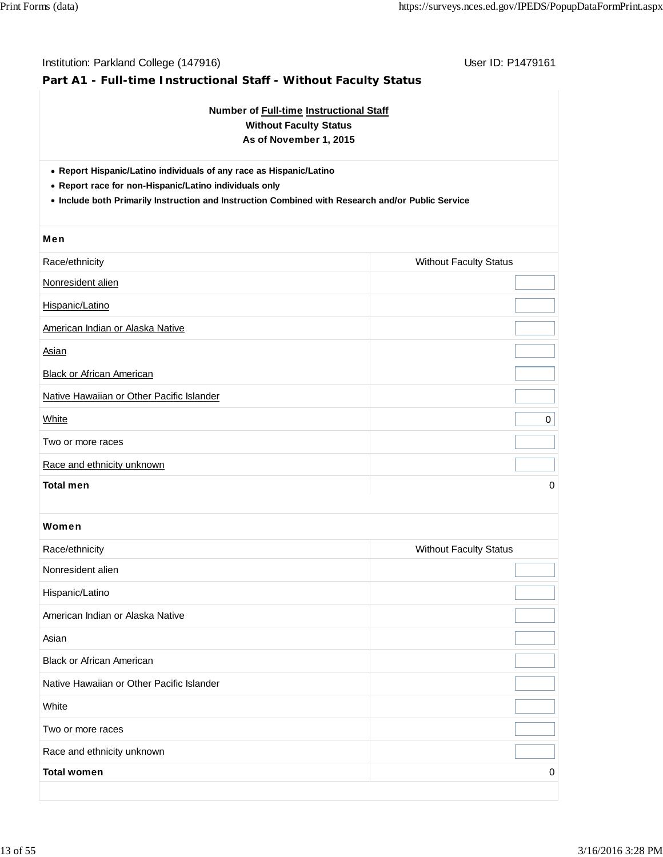# Institution: Parkland College (147916) November 2012 12: P1479161 **Part A1 - Full-time Instructional Staff - Without Faculty Status Number of Full-time Instructional Staff Without Faculty Status As of November 1, 2015 Report Hispanic/Latino individuals of any race as Hispanic/Latino Report race for non-Hispanic/Latino individuals only Include both Primarily Instruction and Instruction Combined with Research and/or Public Service** Men Race/ethnicity **Multiple Control of Control Control Control Control Control Control Control Control Control Control Control Control Control Control Control Control Control Control Control Control Control Control Control Co** Nonresident alien Hispanic/Latino American Indian or Alaska Native **Asian Black or African American** Native Hawaiian or Other Pacific Islander white the contract of the contract of the contract of the contract of the contract of the contract of the contract of the contract of the contract of the contract of the contract of the contract of the contract of the cont Two or more races Race and ethnicity unknown **Total men** 0 Women Race/ethnicity **Multiple Status** Race/ethnicity **Multiple Status Multiple Status Without Faculty Status** Nonresident alien Hispanic/Latino American Indian or Alaska Native Asian Black or African American Native Hawaiian or Other Pacific Islander **White** Two or more races Race and ethnicity unknown **Total women** 0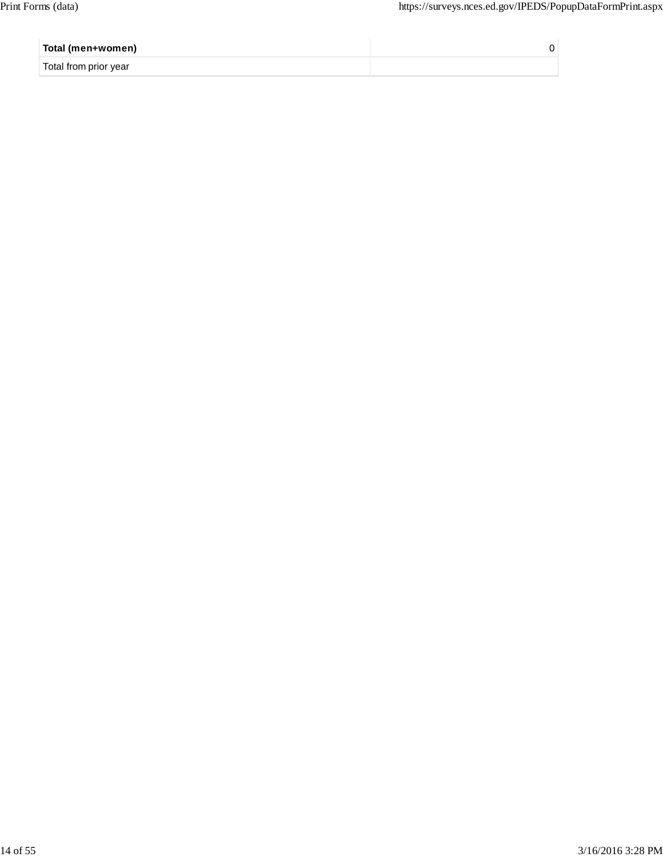| Total (men+women)     |  |
|-----------------------|--|
| Total from prior year |  |
|                       |  |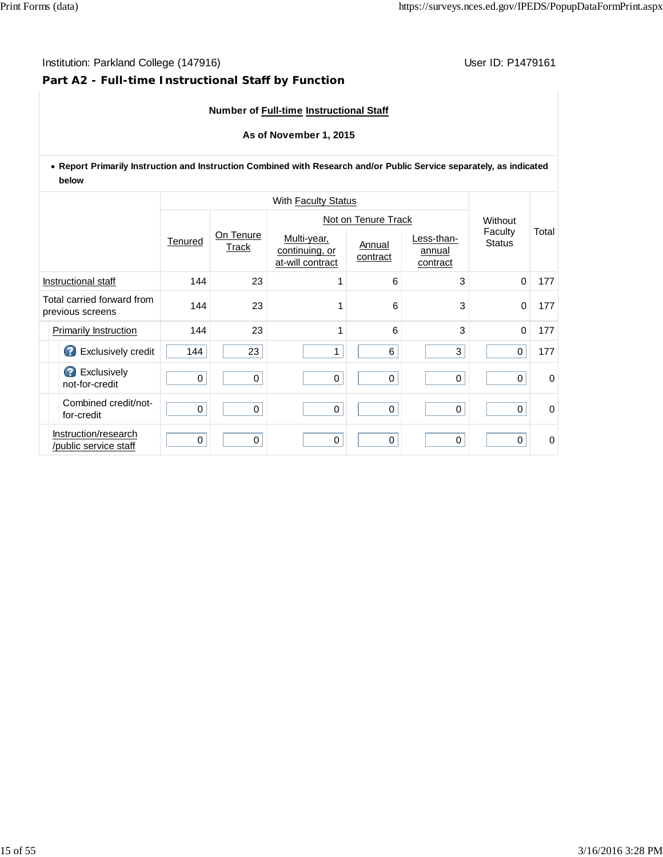## **Part A2 - Full-time Instructional Staff by Function**

## **Number of Full-time Instructional Staff**

## **As of November 1, 2015**

**Report Primarily Instruction and Instruction Combined with Research and/or Public Service separately, as indicated below**

|                                                |         | With Faculty Status |                                                   |                     |                                  |                          |          |  |
|------------------------------------------------|---------|---------------------|---------------------------------------------------|---------------------|----------------------------------|--------------------------|----------|--|
|                                                |         |                     |                                                   | Not on Tenure Track |                                  |                          |          |  |
|                                                | Tenured | On Tenure<br>Track  | Multi-year,<br>continuing, or<br>at-will contract | Annual<br>contract  | Less-than-<br>annual<br>contract | Faculty<br><b>Status</b> | Total    |  |
| Instructional staff                            | 144     | 23                  |                                                   | 6                   | 3                                | $\Omega$                 | 177      |  |
| Total carried forward from<br>previous screens | 144     | 23                  |                                                   | 6                   | 3                                | $\mathbf 0$              | 177      |  |
| Primarily Instruction                          | 144     | 23                  | 1                                                 | 6                   | 3                                | $\Omega$                 | 177      |  |
| Exclusively credit                             | 144     | 23                  | 1                                                 | 6                   | $\mathbf 3$                      | $\mathbf 0$              | 177      |  |
| <b>B</b> Exclusively<br>not-for-credit         | 0       | 0                   | $\mathbf 0$                                       | $\,0\,$             | $\mathbf 0$                      | 0                        | $\Omega$ |  |
| Combined credit/not-<br>for-credit             | 0       | $\mathbf 0$         | 0                                                 | 0                   | $\mathbf 0$                      | $\mathbf 0$              | $\Omega$ |  |
| Instruction/research<br>/public service staff  | 0       | 0                   | 0                                                 | $\mathbf 0$         | $\mathbf 0$                      | $\Omega$                 | 0        |  |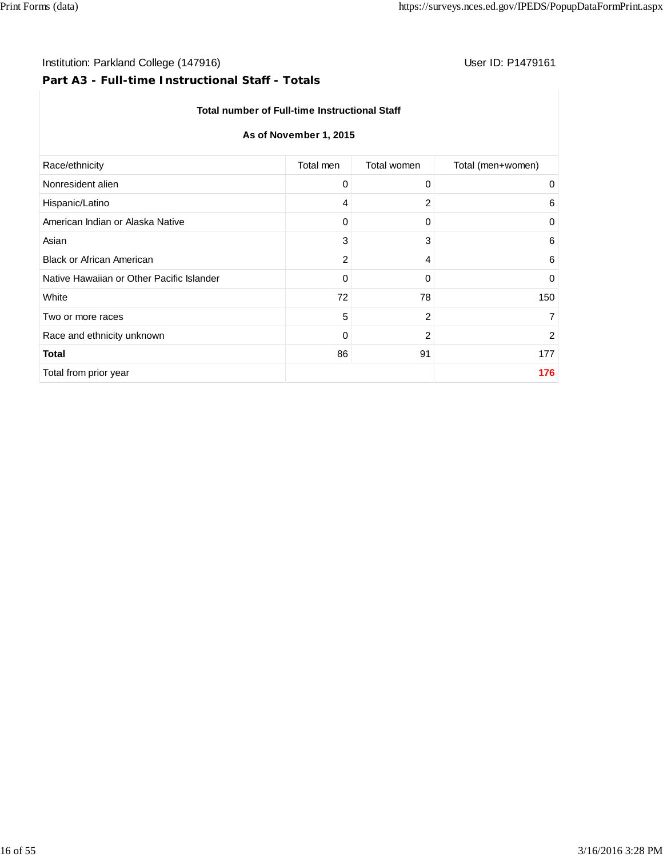## Institution: Parkland College (147916) **Institution: Parkland College (147916)** Constantino College (147916)

## **Part A3 - Full-time Instructional Staff - Totals**

## **Total number of Full-time Instructional Staff**

## **As of November 1, 2015**

| Total men | Total women    | Total (men+women) |
|-----------|----------------|-------------------|
| 0         | 0              | 0                 |
| 4         | 2              | 6                 |
| 0         | 0              | 0                 |
| 3         | 3              | 6                 |
| 2         | 4              | 6                 |
| 0         | 0              | $\mathbf 0$       |
| 72        | 78             | 150               |
| 5         | 2              | $\overline{7}$    |
| 0         | $\overline{2}$ | 2                 |
| 86        | 91             | 177               |
|           |                | 176               |
|           |                |                   |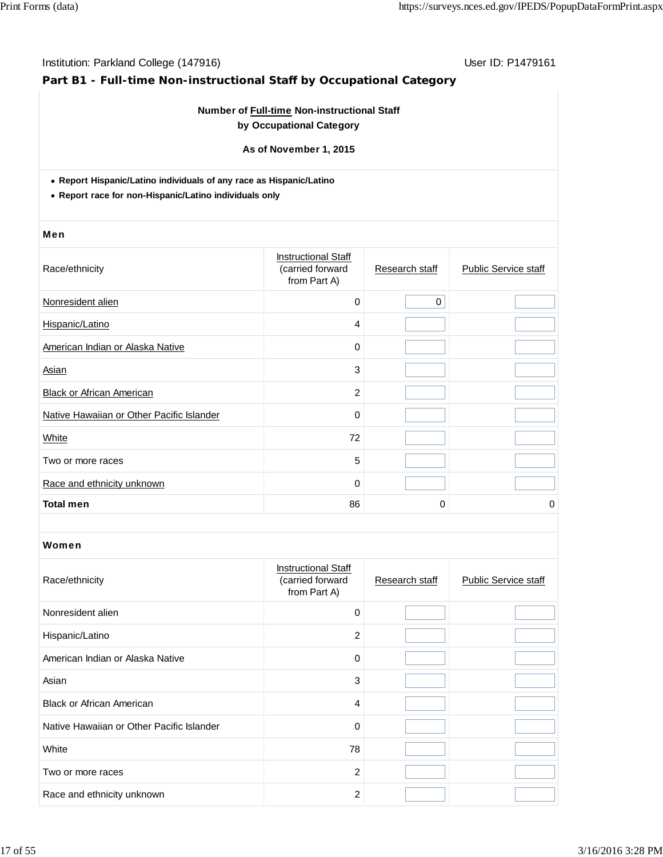## **Part B1 - Full-time Non-instructional Staff by Occupational Category**

## **Number of Full-time Non-instructional Staff by Occupational Category**

**As of November 1, 2015**

**Report Hispanic/Latino individuals of any race as Hispanic/Latino**

**Report race for non-Hispanic/Latino individuals only**

#### Men

| Race/ethnicity                            | <b>Instructional Staff</b><br>(carried forward<br>from Part A) | Research staff | <b>Public Service staff</b> |
|-------------------------------------------|----------------------------------------------------------------|----------------|-----------------------------|
| Nonresident alien                         | $\mathbf 0$                                                    | $\mathbf 0$    |                             |
| Hispanic/Latino                           | 4                                                              |                |                             |
| American Indian or Alaska Native          | 0                                                              |                |                             |
| Asian                                     | 3                                                              |                |                             |
| <b>Black or African American</b>          | $\overline{c}$                                                 |                |                             |
| Native Hawaiian or Other Pacific Islander | 0                                                              |                |                             |
| White                                     | 72                                                             |                |                             |
| Two or more races                         | 5                                                              |                |                             |
| Race and ethnicity unknown                | $\mathbf 0$                                                    |                |                             |
| <b>Total men</b>                          | 86                                                             | 0              | 0                           |

| Race/ethnicity                            | <b>Instructional Staff</b><br>(carried forward<br>from Part A) | Research staff | <b>Public Service staff</b> |
|-------------------------------------------|----------------------------------------------------------------|----------------|-----------------------------|
| Nonresident alien                         | $\Omega$                                                       |                |                             |
| Hispanic/Latino                           | 2                                                              |                |                             |
| American Indian or Alaska Native          | $\Omega$                                                       |                |                             |
| Asian                                     | 3                                                              |                |                             |
| <b>Black or African American</b>          | 4                                                              |                |                             |
| Native Hawaiian or Other Pacific Islander | $\mathbf 0$                                                    |                |                             |
| White                                     | 78                                                             |                |                             |
| Two or more races                         | 2                                                              |                |                             |
| Race and ethnicity unknown                | $\overline{2}$                                                 |                |                             |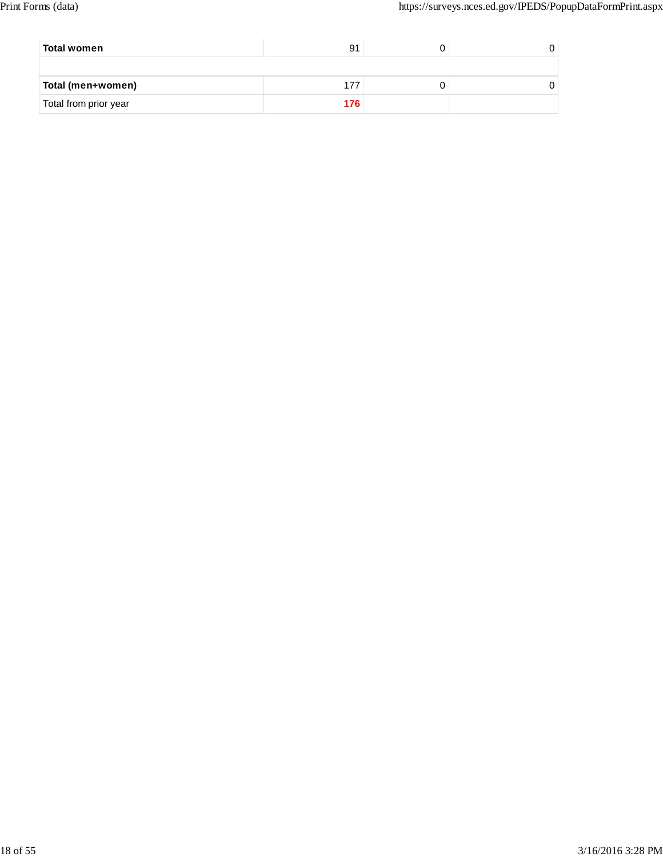| Total women           | 91  |  |
|-----------------------|-----|--|
|                       |     |  |
| Total (men+women)     |     |  |
| Total from prior year | 176 |  |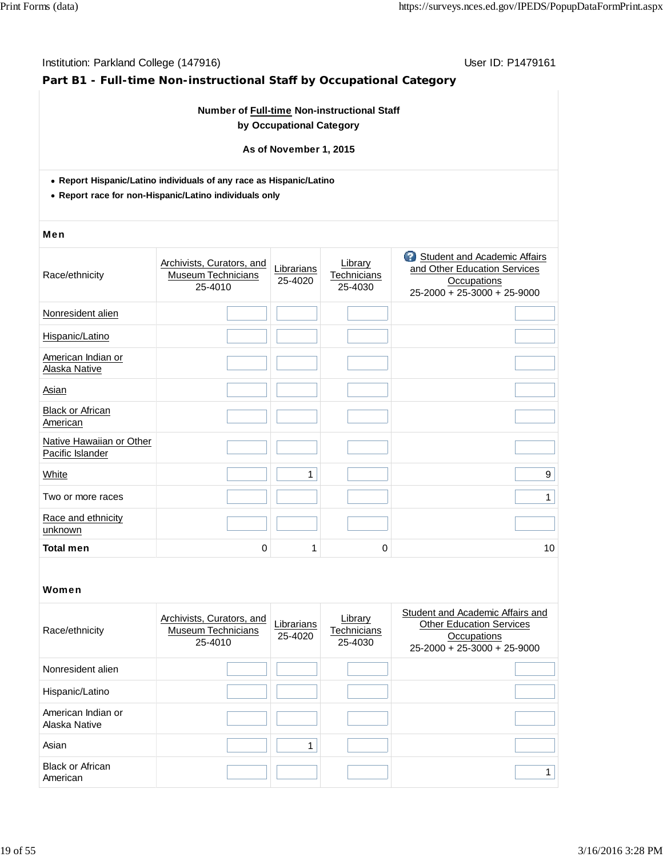## **Part B1 - Full-time Non-instructional Staff by Occupational Category**

## **Number of Full-time Non-instructional Staff by Occupational Category**

#### **As of November 1, 2015**

- **Report Hispanic/Latino individuals of any race as Hispanic/Latino**
- **Report race for non-Hispanic/Latino individuals only**

#### Men

| Race/ethnicity                               | Archivists, Curators, and<br><b>Museum Technicians</b><br>25-4010 | Librarians<br>25-4020 | Library<br>Technicians<br>25-4030 | <b>3</b> Student and Academic Affairs<br>and Other Education Services<br><b>Occupations</b><br>25-2000 + 25-3000 + 25-9000 |
|----------------------------------------------|-------------------------------------------------------------------|-----------------------|-----------------------------------|----------------------------------------------------------------------------------------------------------------------------|
| Nonresident alien                            |                                                                   |                       |                                   |                                                                                                                            |
| Hispanic/Latino                              |                                                                   |                       |                                   |                                                                                                                            |
| American Indian or<br>Alaska Native          |                                                                   |                       |                                   |                                                                                                                            |
| Asian                                        |                                                                   |                       |                                   |                                                                                                                            |
| <b>Black or African</b><br>American          |                                                                   |                       |                                   |                                                                                                                            |
| Native Hawaiian or Other<br>Pacific Islander |                                                                   |                       |                                   |                                                                                                                            |
| White                                        |                                                                   | 1                     |                                   | 9                                                                                                                          |
| Two or more races                            |                                                                   |                       |                                   | 1                                                                                                                          |
| Race and ethnicity<br>unknown                |                                                                   |                       |                                   |                                                                                                                            |
| <b>Total men</b>                             | 0                                                                 | 1                     | 0                                 | 10                                                                                                                         |
|                                              |                                                                   |                       |                                   |                                                                                                                            |

| Race/ethnicity                      | Archivists, Curators, and<br><b>Museum Technicians</b><br>25-4010 | Librarians<br>25-4020 | Library<br>Technicians<br>25-4030 | Student and Academic Affairs and<br><b>Other Education Services</b><br>Occupations<br>$25-2000 + 25-3000 + 25-9000$ |
|-------------------------------------|-------------------------------------------------------------------|-----------------------|-----------------------------------|---------------------------------------------------------------------------------------------------------------------|
| Nonresident alien                   |                                                                   |                       |                                   |                                                                                                                     |
| Hispanic/Latino                     |                                                                   |                       |                                   |                                                                                                                     |
| American Indian or<br>Alaska Native |                                                                   |                       |                                   |                                                                                                                     |
| Asian                               |                                                                   |                       |                                   |                                                                                                                     |
| <b>Black or African</b><br>American |                                                                   |                       |                                   |                                                                                                                     |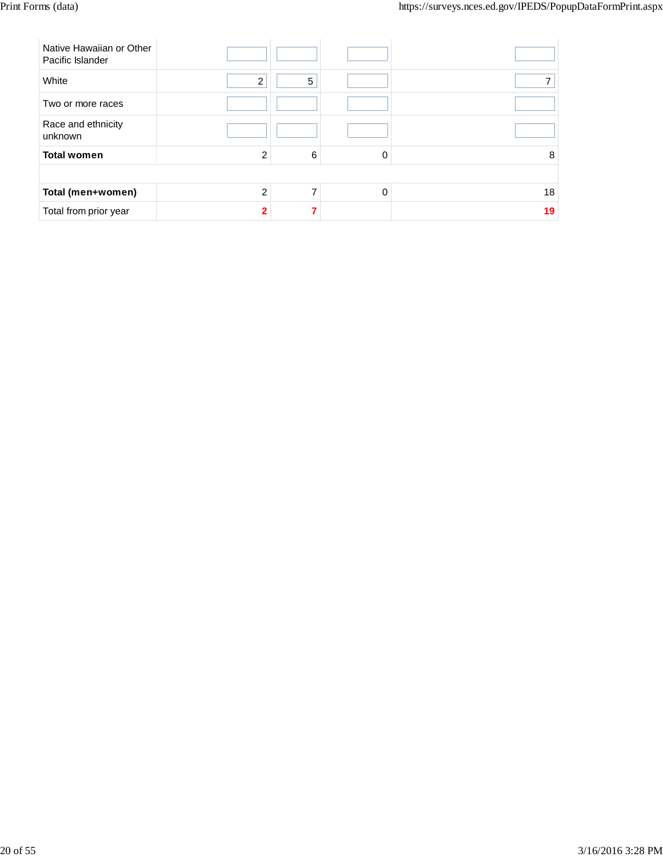| Native Hawaiian or Other<br>Pacific Islander |                |   |          |    |
|----------------------------------------------|----------------|---|----------|----|
| White                                        | $\overline{2}$ | 5 |          |    |
| Two or more races                            |                |   |          |    |
| Race and ethnicity<br>unknown                |                |   |          |    |
| <b>Total women</b>                           | $\overline{2}$ | 6 | 0        | 8  |
|                                              |                |   |          |    |
| Total (men+women)                            | $\mathfrak{p}$ |   | $\Omega$ | 18 |
| Total from prior year                        | $\mathbf{c}$   |   |          | 19 |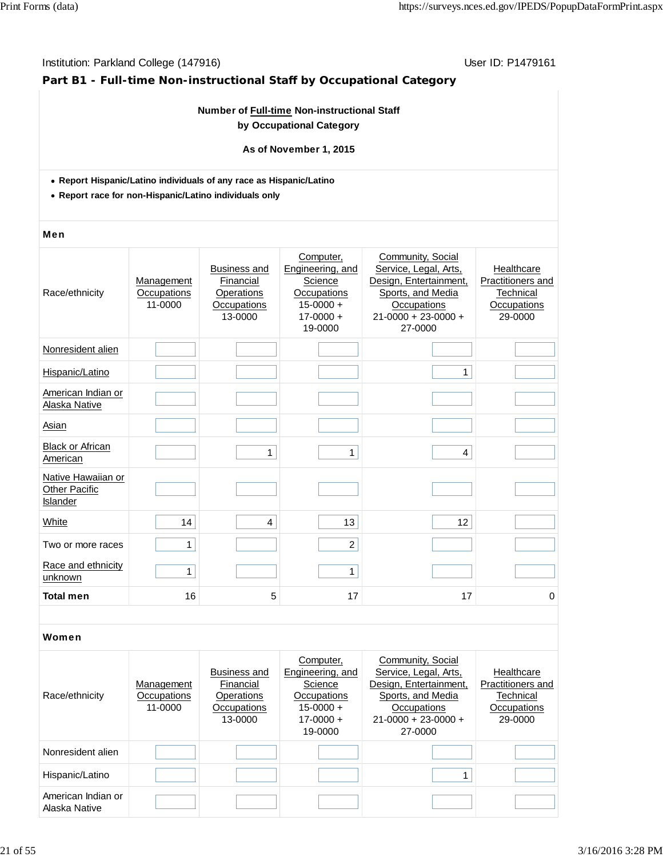## **Part B1 - Full-time Non-instructional Staff by Occupational Category**

## **Number of Full-time Non-instructional Staff by Occupational Category**

## **As of November 1, 2015**

- **Report Hispanic/Latino individuals of any race as Hispanic/Latino**
- **Report race for non-Hispanic/Latino individuals only**

#### Men

| Race/ethnicity                                         | Management<br>Occupations<br>11-0000 | <b>Business and</b><br>Financial<br>Operations<br>Occupations<br>13-0000 | Computer,<br>Engineering, and<br>Science<br>Occupations<br>$15 - 0000 +$<br>$17 - 0000 +$<br>19-0000 | Community, Social<br>Service, Legal, Arts,<br>Design, Entertainment,<br>Sports, and Media<br>Occupations<br>$21 - 0000 + 23 - 0000 +$<br>27-0000 | Healthcare<br>Practitioners and<br>Technical<br>Occupations<br>29-0000 |
|--------------------------------------------------------|--------------------------------------|--------------------------------------------------------------------------|------------------------------------------------------------------------------------------------------|--------------------------------------------------------------------------------------------------------------------------------------------------|------------------------------------------------------------------------|
| Nonresident alien                                      |                                      |                                                                          |                                                                                                      |                                                                                                                                                  |                                                                        |
| Hispanic/Latino                                        |                                      |                                                                          |                                                                                                      | 1                                                                                                                                                |                                                                        |
| American Indian or<br>Alaska Native                    |                                      |                                                                          |                                                                                                      |                                                                                                                                                  |                                                                        |
| Asian                                                  |                                      |                                                                          |                                                                                                      |                                                                                                                                                  |                                                                        |
| <b>Black or African</b><br>American                    |                                      | 1                                                                        | 1                                                                                                    | 4                                                                                                                                                |                                                                        |
| Native Hawaiian or<br><b>Other Pacific</b><br>Islander |                                      |                                                                          |                                                                                                      |                                                                                                                                                  |                                                                        |
| White                                                  | 14                                   | 4                                                                        | 13                                                                                                   | 12                                                                                                                                               |                                                                        |
| Two or more races                                      | 1                                    |                                                                          | $\overline{c}$                                                                                       |                                                                                                                                                  |                                                                        |
| Race and ethnicity<br>unknown                          | 1                                    |                                                                          | 1                                                                                                    |                                                                                                                                                  |                                                                        |
| <b>Total men</b>                                       | 16                                   | 5                                                                        | 17                                                                                                   | 17                                                                                                                                               | 0                                                                      |

| Race/ethnicity                      | Management<br>Occupations<br>11-0000 | Business and<br>Financial<br>Operations<br>Occupations<br>13-0000 | Computer,<br>Engineering, and<br>Science<br>Occupations<br>$15 - 0000 +$<br>$17 - 0000 +$<br>19-0000 | Community, Social<br>Service, Legal, Arts,<br>Design, Entertainment,<br>Sports, and Media<br>Occupations<br>$21-0000 + 23-0000 +$<br>27-0000 | Healthcare<br>Practitioners and<br>Technical<br>Occupations<br>29-0000 |
|-------------------------------------|--------------------------------------|-------------------------------------------------------------------|------------------------------------------------------------------------------------------------------|----------------------------------------------------------------------------------------------------------------------------------------------|------------------------------------------------------------------------|
| Nonresident alien                   |                                      |                                                                   |                                                                                                      |                                                                                                                                              |                                                                        |
| Hispanic/Latino                     |                                      |                                                                   |                                                                                                      |                                                                                                                                              |                                                                        |
| American Indian or<br>Alaska Native |                                      |                                                                   |                                                                                                      |                                                                                                                                              |                                                                        |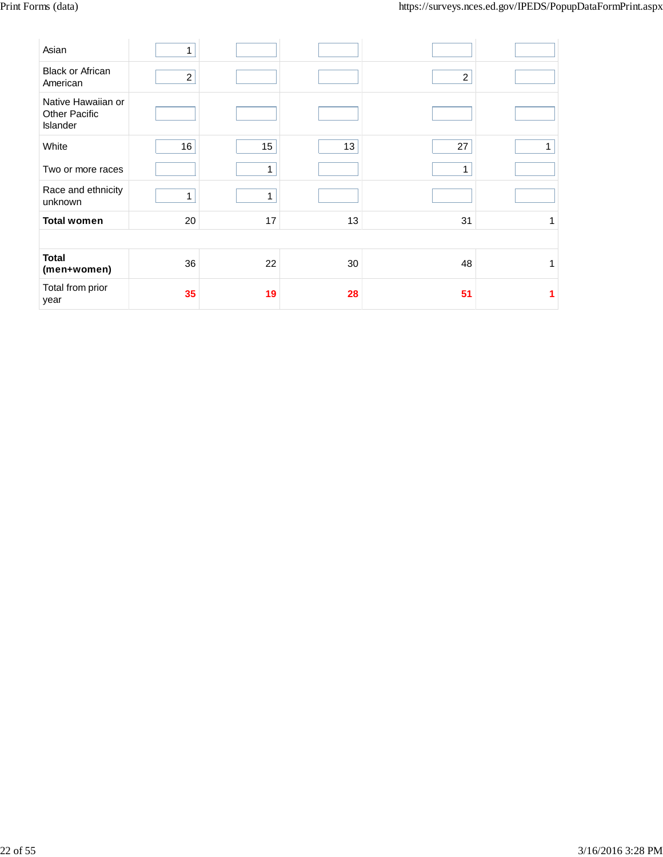| Asian                                                  | 1              |    |    |                |   |
|--------------------------------------------------------|----------------|----|----|----------------|---|
| <b>Black or African</b><br>American                    | $\overline{c}$ |    |    | $\overline{c}$ |   |
| Native Hawaiian or<br><b>Other Pacific</b><br>Islander |                |    |    |                |   |
| White                                                  | 16             | 15 | 13 | 27             | 1 |
| Two or more races                                      |                | 1  |    | 1              |   |
| Race and ethnicity<br>unknown                          | 1              | 1  |    |                |   |
| <b>Total women</b>                                     | 20             | 17 | 13 | 31             | 1 |
|                                                        |                |    |    |                |   |
| <b>Total</b><br>(men+women)                            | 36             | 22 | 30 | 48             | 1 |
| Total from prior<br>year                               | 35             | 19 | 28 | 51             |   |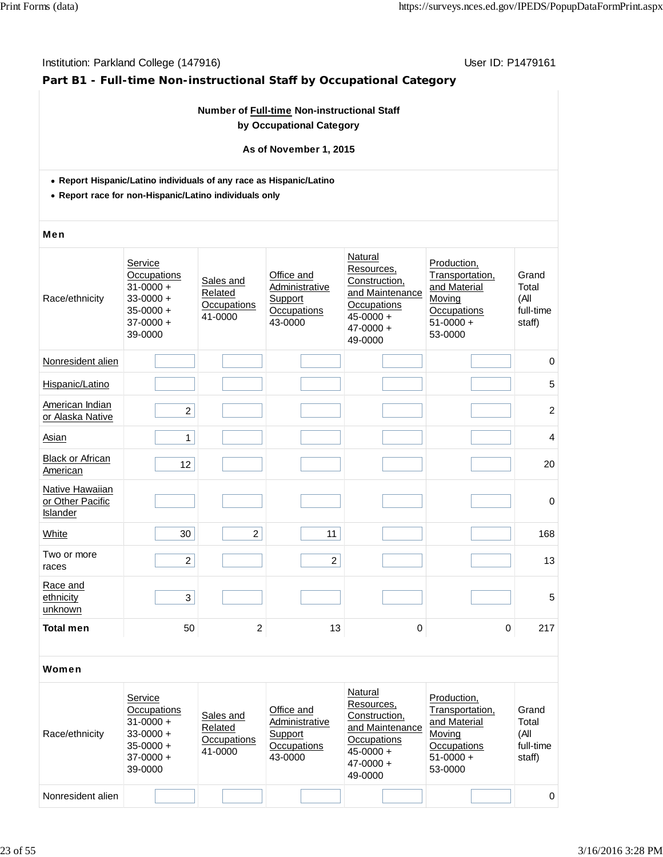## **Part B1 - Full-time Non-instructional Staff by Occupational Category**

## **Number of Full-time Non-instructional Staff by Occupational Category**

## **As of November 1, 2015**

- **Report Hispanic/Latino individuals of any race as Hispanic/Latino**
- **Report race for non-Hispanic/Latino individuals only**

#### Men

| Race/ethnicity                                  | Service<br>Occupations<br>$31 - 0000 +$<br>$33 - 0000 +$<br>$35 - 0000 +$<br>$37-0000 +$<br>39-0000 | Sales and<br>Related<br>Occupations<br>41-0000 | Office and<br>Administrative<br>Support<br>Occupations<br>43-0000 | Natural<br>Resources,<br>Construction,<br>and Maintenance<br>Occupations<br>$45 - 0000 +$<br>$47 - 0000 +$<br>49-0000 | Production,<br>Transportation,<br>and Material<br>Moving<br>Occupations<br>$51-0000 +$<br>53-0000 | Grand<br>Total<br>(A <sup>  </sup> )<br>full-time<br>staff) |
|-------------------------------------------------|-----------------------------------------------------------------------------------------------------|------------------------------------------------|-------------------------------------------------------------------|-----------------------------------------------------------------------------------------------------------------------|---------------------------------------------------------------------------------------------------|-------------------------------------------------------------|
| Nonresident alien                               |                                                                                                     |                                                |                                                                   |                                                                                                                       |                                                                                                   | $\pmb{0}$                                                   |
| Hispanic/Latino                                 |                                                                                                     |                                                |                                                                   |                                                                                                                       |                                                                                                   | 5                                                           |
| American Indian<br>or Alaska Native             | $\overline{c}$                                                                                      |                                                |                                                                   |                                                                                                                       |                                                                                                   | $\overline{c}$                                              |
| Asian                                           | 1                                                                                                   |                                                |                                                                   |                                                                                                                       |                                                                                                   | 4                                                           |
| <b>Black or African</b><br>American             | 12                                                                                                  |                                                |                                                                   |                                                                                                                       |                                                                                                   | 20                                                          |
| Native Hawaiian<br>or Other Pacific<br>Islander |                                                                                                     |                                                |                                                                   |                                                                                                                       |                                                                                                   | $\mathbf 0$                                                 |
| White                                           | 30                                                                                                  | $\overline{2}$                                 | 11                                                                |                                                                                                                       |                                                                                                   | 168                                                         |
| Two or more<br>races                            | $\overline{c}$                                                                                      |                                                | $\overline{c}$                                                    |                                                                                                                       |                                                                                                   | 13                                                          |
| Race and<br>ethnicity<br>unknown                | 3                                                                                                   |                                                |                                                                   |                                                                                                                       |                                                                                                   | 5                                                           |
| <b>Total men</b>                                | 50                                                                                                  | $\overline{2}$                                 | 13                                                                | $\pmb{0}$                                                                                                             | 0                                                                                                 | 217                                                         |

| Race/ethnicity    | Service<br>Occupations<br>$31 - 0000 +$<br>$33 - 0000 +$<br>$35 - 0000 +$<br>$37-0000 +$<br>39-0000 | Sales and<br>Related<br>Occupations<br>41-0000 | Office and<br>Administrative<br>Support<br><b>Occupations</b><br>43-0000 | Natural<br>Resources,<br>Construction,<br>and Maintenance<br>Occupations<br>$45 - 0000 +$<br>$47 - 0000 +$<br>49-0000 | Production,<br>Transportation,<br>and Material<br>Moving<br>Occupations<br>$51-0000 +$<br>53-0000 | Grand<br>Total<br>(All<br>full-time<br>staff) |
|-------------------|-----------------------------------------------------------------------------------------------------|------------------------------------------------|--------------------------------------------------------------------------|-----------------------------------------------------------------------------------------------------------------------|---------------------------------------------------------------------------------------------------|-----------------------------------------------|
| Nonresident alien |                                                                                                     |                                                |                                                                          |                                                                                                                       |                                                                                                   | $\Omega$                                      |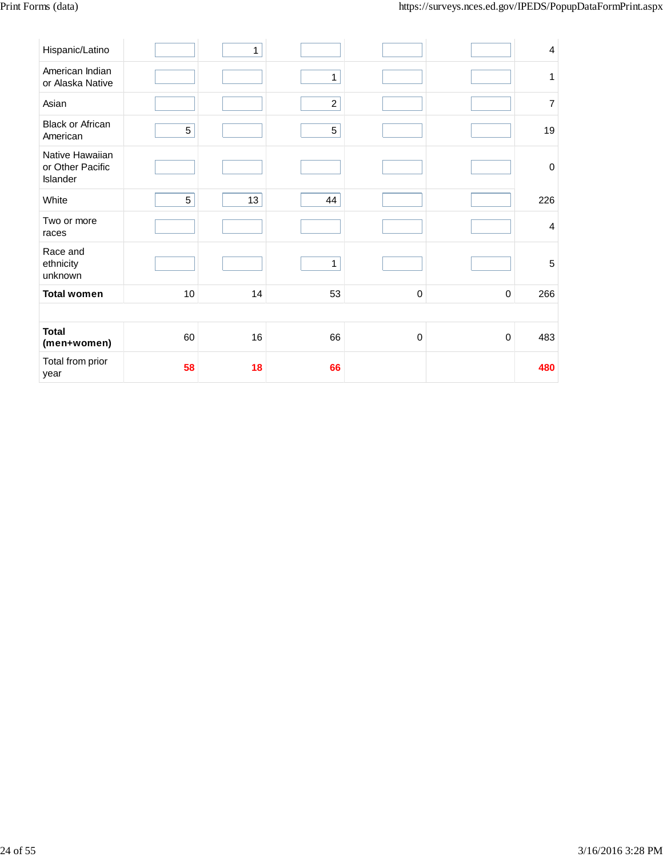| Hispanic/Latino                                 |    | 1  |                |           |             | 4              |
|-------------------------------------------------|----|----|----------------|-----------|-------------|----------------|
| American Indian<br>or Alaska Native             |    |    | $\mathbf{1}$   |           |             | 1              |
| Asian                                           |    |    | $\overline{c}$ |           |             | 7              |
| <b>Black or African</b><br>American             | 5  |    | 5              |           |             | 19             |
| Native Hawaiian<br>or Other Pacific<br>Islander |    |    |                |           |             | $\mathbf 0$    |
| White                                           | 5  | 13 | 44             |           |             | 226            |
| Two or more<br>races                            |    |    |                |           |             | $\overline{4}$ |
| Race and<br>ethnicity<br>unknown                |    |    | $\mathbf{1}$   |           |             | 5              |
| <b>Total women</b>                              | 10 | 14 | 53             | $\pmb{0}$ | 0           | 266            |
|                                                 |    |    |                |           |             |                |
| <b>Total</b><br>(men+women)                     | 60 | 16 | 66             | 0         | $\mathbf 0$ | 483            |
| Total from prior<br>year                        | 58 | 18 | 66             |           |             | 480            |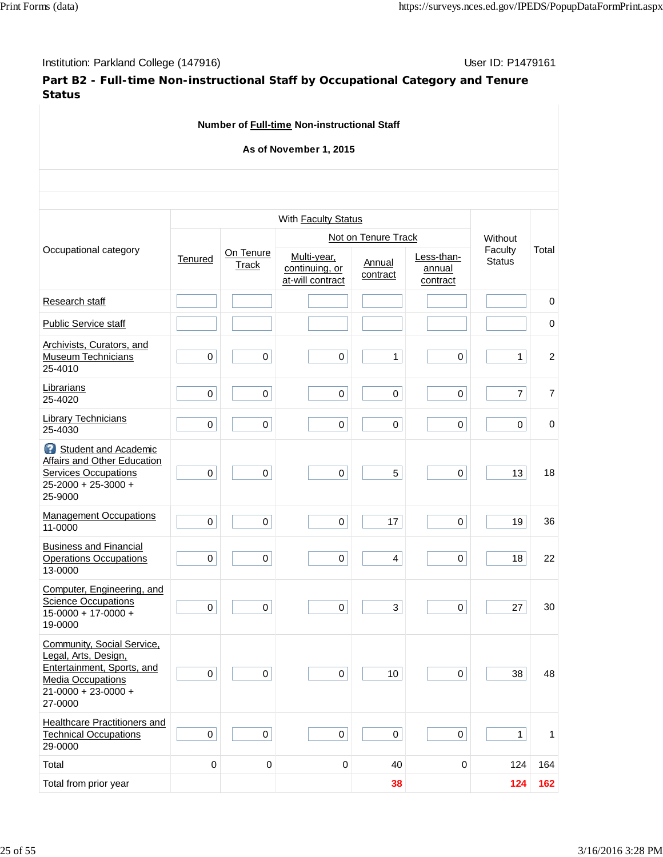Institution: Parkland College (147916) **User ID: P1479161** User ID: P1479161

## **Part B2 - Full-time Non-instructional Staff by Occupational Category and Tenure Status**

| Number of Full-time Non-instructional Staff                                                                                                          |             |                           |                                                   |                     |                                  |                    |                |  |  |  |  |
|------------------------------------------------------------------------------------------------------------------------------------------------------|-------------|---------------------------|---------------------------------------------------|---------------------|----------------------------------|--------------------|----------------|--|--|--|--|
| As of November 1, 2015                                                                                                                               |             |                           |                                                   |                     |                                  |                    |                |  |  |  |  |
|                                                                                                                                                      |             |                           |                                                   |                     |                                  |                    |                |  |  |  |  |
|                                                                                                                                                      |             |                           |                                                   |                     |                                  |                    |                |  |  |  |  |
|                                                                                                                                                      |             |                           | With Faculty Status                               |                     |                                  |                    |                |  |  |  |  |
| Occupational category                                                                                                                                |             |                           |                                                   | Not on Tenure Track |                                  | Without<br>Faculty | Total          |  |  |  |  |
|                                                                                                                                                      | Tenured     | On Tenure<br><b>Track</b> | Multi-year,<br>continuing, or<br>at-will contract | Annual<br>contract  | Less-than-<br>annual<br>contract | <b>Status</b>      |                |  |  |  |  |
| Research staff                                                                                                                                       |             |                           |                                                   |                     |                                  |                    | $\mathbf 0$    |  |  |  |  |
| <b>Public Service staff</b>                                                                                                                          |             |                           |                                                   |                     |                                  |                    | $\pmb{0}$      |  |  |  |  |
| Archivists, Curators, and<br><b>Museum Technicians</b><br>25-4010                                                                                    | $\pmb{0}$   | $\pmb{0}$                 | 0                                                 | $\mathbf{1}$        | $\mathbf 0$                      | $\mathbf{1}$       | $\overline{c}$ |  |  |  |  |
| Librarians<br>25-4020                                                                                                                                | $\mathbf 0$ | $\pmb{0}$                 | $\mathsf 0$                                       | $\pmb{0}$           | $\mathbf 0$                      | $\overline{7}$     | $\overline{7}$ |  |  |  |  |
| <b>Library Technicians</b><br>25-4030                                                                                                                | $\pmb{0}$   | $\pmb{0}$                 | 0                                                 | 0                   | 0                                | 0                  | $\mathbf 0$    |  |  |  |  |
| Student and Academic<br>Affairs and Other Education<br><b>Services Occupations</b><br>25-2000 + 25-3000 +<br>25-9000                                 | $\pmb{0}$   | $\pmb{0}$                 | $\mathbf 0$                                       | 5                   | $\mathbf 0$                      | 13                 | 18             |  |  |  |  |
| <b>Management Occupations</b><br>11-0000                                                                                                             | $\mathbf 0$ | $\mathsf 0$               | $\mathsf 0$                                       | 17                  | $\pmb{0}$                        | 19                 | 36             |  |  |  |  |
| <b>Business and Financial</b><br><b>Operations Occupations</b><br>13-0000                                                                            | $\pmb{0}$   | $\pmb{0}$                 | $\pmb{0}$                                         | 4                   | 0                                | 18                 | 22             |  |  |  |  |
| Computer, Engineering, and<br><b>Science Occupations</b><br>$15 - 0000 + 17 - 0000 +$<br>19-0000                                                     | $\pmb{0}$   | 0                         | 0                                                 | 3                   | 0                                | 27                 | 30             |  |  |  |  |
| Community, Social Service,<br>Legal, Arts, Design,<br>Entertainment, Sports, and<br><b>Media Occupations</b><br>$21 - 0000 + 23 - 0000 +$<br>27-0000 | $\mathbf 0$ | $\mathsf{O}\xspace$       | $\mathbf 0$                                       | 10 <sup>°</sup>     | $\mathbf 0$                      | 38                 | 48             |  |  |  |  |
| Healthcare Practitioners and<br><b>Technical Occupations</b><br>29-0000                                                                              | $\pmb{0}$   | $\pmb{0}$                 | $\mathsf{O}$                                      | $\mathsf 0$         | $\pmb{0}$                        | $\mathbf{1}$       | 1              |  |  |  |  |
| Total                                                                                                                                                | $\pmb{0}$   | $\pmb{0}$                 | 0                                                 | 40                  | 0                                | 124                | 164            |  |  |  |  |
| Total from prior year                                                                                                                                |             |                           |                                                   | 38                  |                                  | 124                | 162            |  |  |  |  |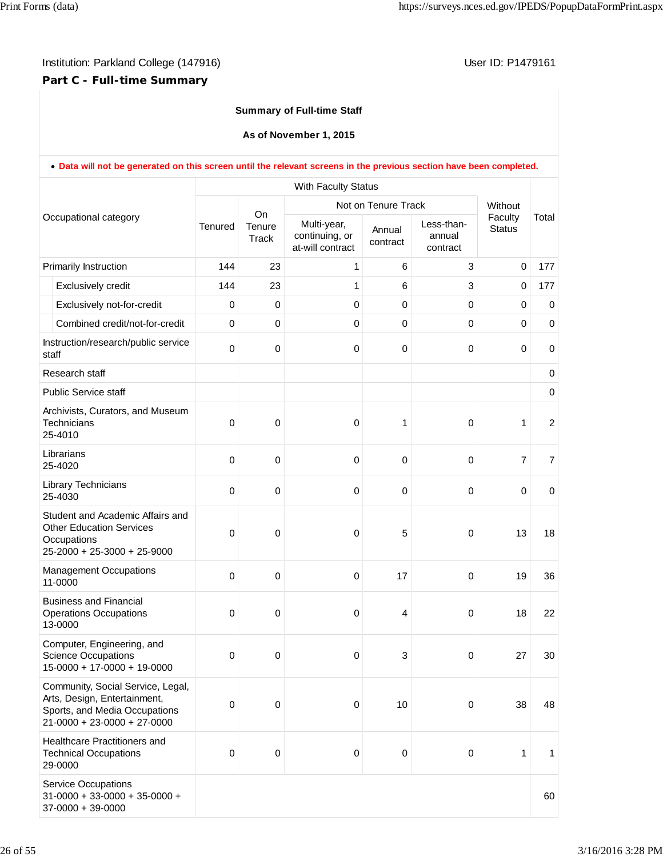## **Part C - Full-time Summary**

## **Summary of Full-time Staff**

**As of November 1, 2015**

|                       | . Data will not be generated on this screen until the relevant screens in the previous section have been completed.                 |             |                       |                                                   |                     |                                  |                          |                |
|-----------------------|-------------------------------------------------------------------------------------------------------------------------------------|-------------|-----------------------|---------------------------------------------------|---------------------|----------------------------------|--------------------------|----------------|
|                       |                                                                                                                                     |             |                       | With Faculty Status                               |                     |                                  |                          |                |
| Occupational category |                                                                                                                                     |             |                       |                                                   | Not on Tenure Track |                                  | Without                  |                |
|                       |                                                                                                                                     | Tenured     | On<br>Tenure<br>Track | Multi-year,<br>continuing, or<br>at-will contract | Annual<br>contract  | Less-than-<br>annual<br>contract | Faculty<br><b>Status</b> | Total          |
|                       | Primarily Instruction                                                                                                               | 144         | 23                    | 1                                                 | 6                   | 3                                | $\mathbf 0$              | 177            |
|                       | Exclusively credit                                                                                                                  | 144         | 23                    | 1                                                 | 6                   | 3                                | 0                        | 177            |
|                       | Exclusively not-for-credit                                                                                                          | 0           | 0                     | $\mathbf 0$                                       | $\pmb{0}$           | 0                                | 0                        | 0              |
|                       | Combined credit/not-for-credit                                                                                                      | $\mathbf 0$ | 0                     | 0                                                 | $\pmb{0}$           | 0                                | 0                        | $\mathbf 0$    |
| staff                 | Instruction/research/public service                                                                                                 | $\mathbf 0$ | 0                     | 0                                                 | 0                   | $\pmb{0}$                        | $\mathbf 0$              | $\pmb{0}$      |
|                       | Research staff                                                                                                                      |             |                       |                                                   |                     |                                  |                          | 0              |
|                       | <b>Public Service staff</b>                                                                                                         |             |                       |                                                   |                     |                                  |                          | $\mathbf 0$    |
|                       | Archivists, Curators, and Museum<br>Technicians<br>25-4010                                                                          | $\mathbf 0$ | 0                     | 0                                                 | 1                   | 0                                | 1                        | $\overline{2}$ |
|                       | Librarians<br>25-4020                                                                                                               | $\mathbf 0$ | 0                     | 0                                                 | $\pmb{0}$           | $\pmb{0}$                        | $\overline{7}$           | $\overline{7}$ |
|                       | Library Technicians<br>25-4030                                                                                                      | $\Omega$    | 0                     | 0                                                 | 0                   | $\pmb{0}$                        | $\mathbf 0$              | $\pmb{0}$      |
|                       | Student and Academic Affairs and<br><b>Other Education Services</b><br>Occupations<br>25-2000 + 25-3000 + 25-9000                   | $\mathbf 0$ | 0                     | 0                                                 | 5                   | 0                                | 13                       | 18             |
|                       | <b>Management Occupations</b><br>11-0000                                                                                            | $\mathbf 0$ | 0                     | $\mathbf 0$                                       | 17                  | $\mathbf 0$                      | 19                       | 36             |
|                       | <b>Business and Financial</b><br><b>Operations Occupations</b><br>13-0000                                                           | $\mathbf 0$ | 0                     | 0                                                 | 4                   | $\pmb{0}$                        | 18                       | 22             |
|                       | Computer, Engineering, and<br><b>Science Occupations</b><br>$15-0000 + 17-0000 + 19-0000$                                           | $\mathbf 0$ | 0                     | 0                                                 | 3                   | 0                                | 27                       | 30             |
|                       | Community, Social Service, Legal,<br>Arts, Design, Entertainment,<br>Sports, and Media Occupations<br>$21-0000 + 23-0000 + 27-0000$ | $\mathbf 0$ | 0                     | 0                                                 | 10                  | 0                                | 38                       | 48             |
|                       | Healthcare Practitioners and<br><b>Technical Occupations</b><br>29-0000                                                             | $\mathbf 0$ | 0                     | $\mathbf 0$                                       | 0                   | $\pmb{0}$                        | 1                        | 1              |
|                       | <b>Service Occupations</b><br>$31 - 0000 + 33 - 0000 + 35 - 0000 +$<br>$37-0000 + 39-0000$                                          |             |                       |                                                   |                     |                                  |                          | 60             |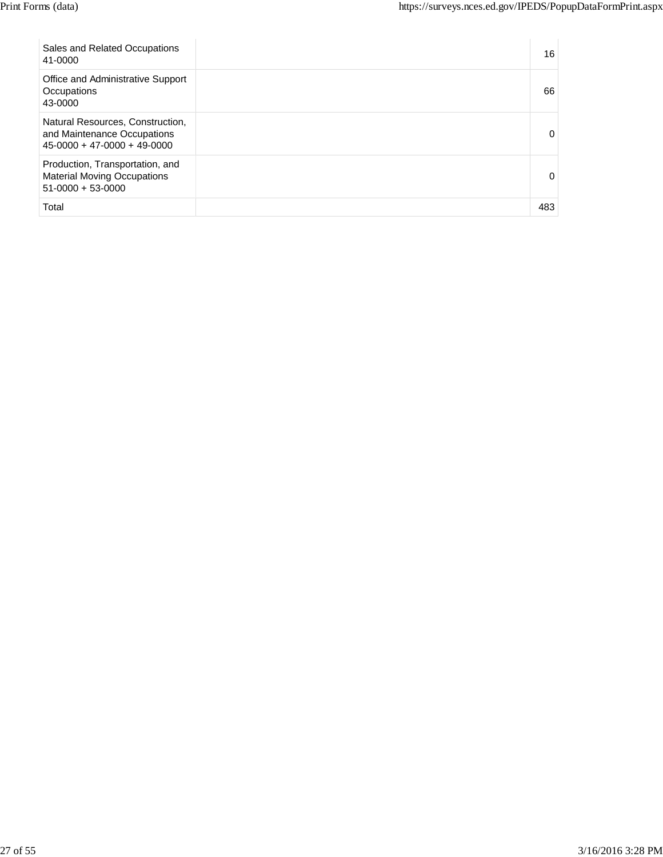| Sales and Related Occupations<br>41-0000                                                         | 16       |
|--------------------------------------------------------------------------------------------------|----------|
| Office and Administrative Support<br>Occupations<br>43-0000                                      | 66       |
| Natural Resources, Construction,<br>and Maintenance Occupations<br>$45-0000 + 47-0000 + 49-0000$ | $\Omega$ |
| Production, Transportation, and<br><b>Material Moving Occupations</b><br>$51-0000 + 53-0000$     | 0        |
| Total                                                                                            | 483      |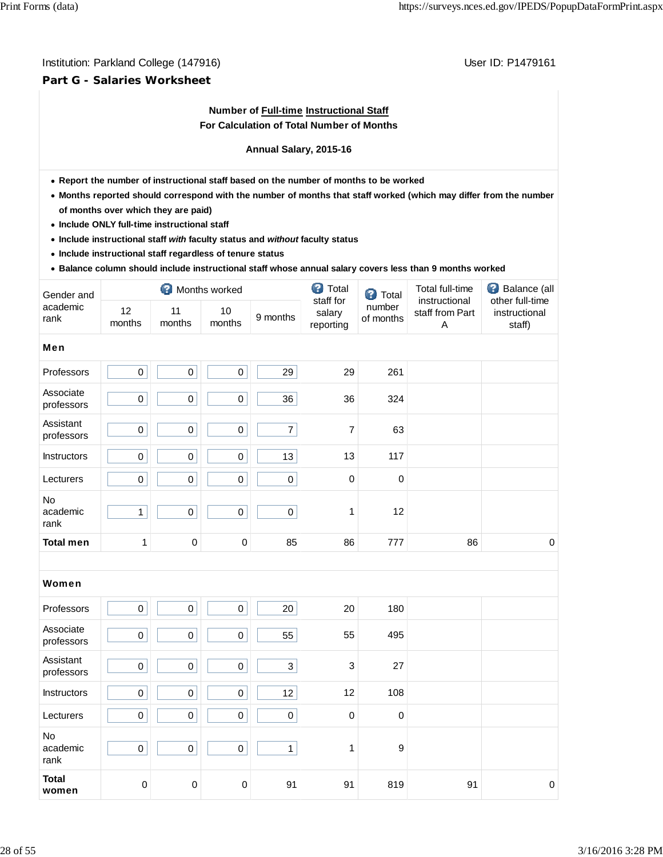## **Part G - Salaries Worksheet**

## **Number of Full-time Instructional Staff For Calculation of Total Number of Months**

## **Annual Salary, 2015-16**

- **Report the number of instructional staff based on the number of months to be worked**
- **Months reported should correspond with the number of months that staff worked (which may differ from the number of months over which they are paid)**
- **Include ONLY full-time instructional staff**
- **Include instructional staff** *with* **faculty status and** *without* **faculty status**
- **Include instructional staff regardless of tenure status**
- **Balance column should include instructional staff whose annual salary covers less than 9 months worked**

| Gender and              |              | ◙            | Months worked |                | <b>3</b> Total                   | ๏<br>Total          | <b>Total full-time</b>                | Ø<br>Balance (all                          |
|-------------------------|--------------|--------------|---------------|----------------|----------------------------------|---------------------|---------------------------------------|--------------------------------------------|
| academic<br>rank        | 12<br>months | 11<br>months | 10<br>months  | 9 months       | staff for<br>salary<br>reporting | number<br>of months | instructional<br>staff from Part<br>Α | other full-time<br>instructional<br>staff) |
| Men                     |              |              |               |                |                                  |                     |                                       |                                            |
| Professors              | $\mathbf 0$  | 0            | 0             | 29             | 29                               | 261                 |                                       |                                            |
| Associate<br>professors | $\mathbf 0$  | 0            | 0             | 36             | 36                               | 324                 |                                       |                                            |
| Assistant<br>professors | 0            | 0            | 0             | $\overline{7}$ | 7                                | 63                  |                                       |                                            |
| Instructors             | 0            | 0            | $\pmb{0}$     | 13             | 13                               | 117                 |                                       |                                            |
| Lecturers               | $\mathbf 0$  | $\mathsf 0$  | 0             | $\pmb{0}$      | 0                                | $\mathbf 0$         |                                       |                                            |
| No<br>academic<br>rank  | $\mathbf{1}$ | 0            | 0             | $\pmb{0}$      | $\mathbf{1}$                     | 12                  |                                       |                                            |
| <b>Total men</b>        | $\mathbf{1}$ | $\pmb{0}$    | 0             | 85             | 86                               | 777                 | 86                                    | 0                                          |
|                         |              |              |               |                |                                  |                     |                                       |                                            |

| Women                   |             |                     |             |             |              |                  |    |                  |
|-------------------------|-------------|---------------------|-------------|-------------|--------------|------------------|----|------------------|
| Professors              | $\mathbf 0$ | $\mathbf 0$         | $\mathbf 0$ | 20          | 20           | 180              |    |                  |
| Associate<br>professors | $\,0\,$     | $\mathbf 0$         | 0           | 55          | 55           | 495              |    |                  |
| Assistant<br>professors | $\mathbf 0$ | $\mathbf 0$         | $\mathbf 0$ | 3           | $\mathbf{3}$ | 27               |    |                  |
| Instructors             | $\mathbf 0$ | $\pmb{0}$           | $\mathsf 0$ | 12          | 12           | 108              |    |                  |
| Lecturers               | $\,0\,$     | $\mathbf 0$         | $\pmb{0}$   | $\mathsf 0$ | $\mathbf 0$  | $\mathbf 0$      |    |                  |
| No<br>academic<br>rank  | $\,0\,$     | $\mathsf{O}\xspace$ | $\mathbf 0$ | 1           |              | $\boldsymbol{9}$ |    |                  |
| <b>Total</b><br>women   | 0           | $\pmb{0}$           | $\mathbf 0$ | 91          | 91           | 819              | 91 | $\boldsymbol{0}$ |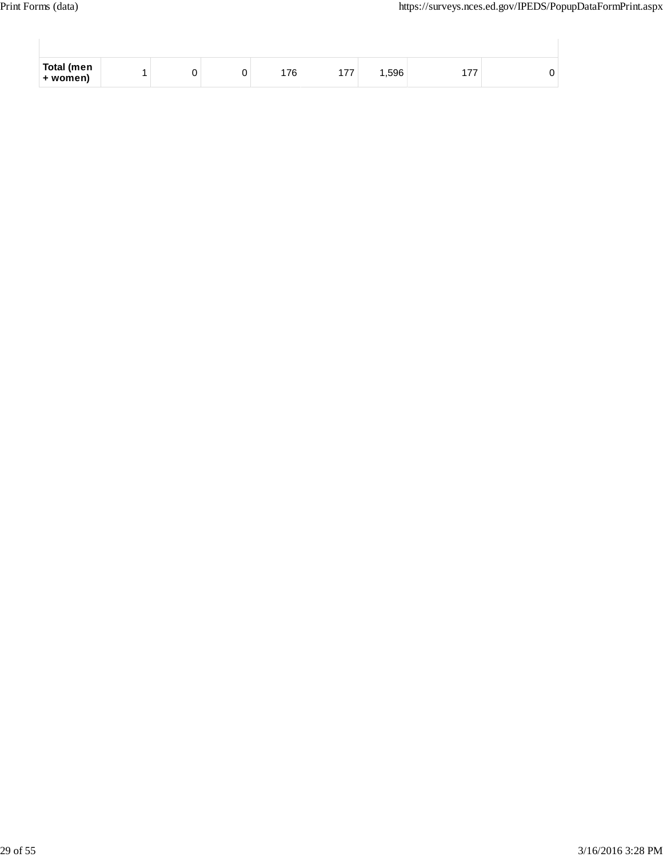$\overline{\phantom{a}}$ 

 $\overline{\phantom{a}}$ 

| Total (men<br>+ women) |  | 176 | 77 | .596 | $\overline{\phantom{a}}$ |  |
|------------------------|--|-----|----|------|--------------------------|--|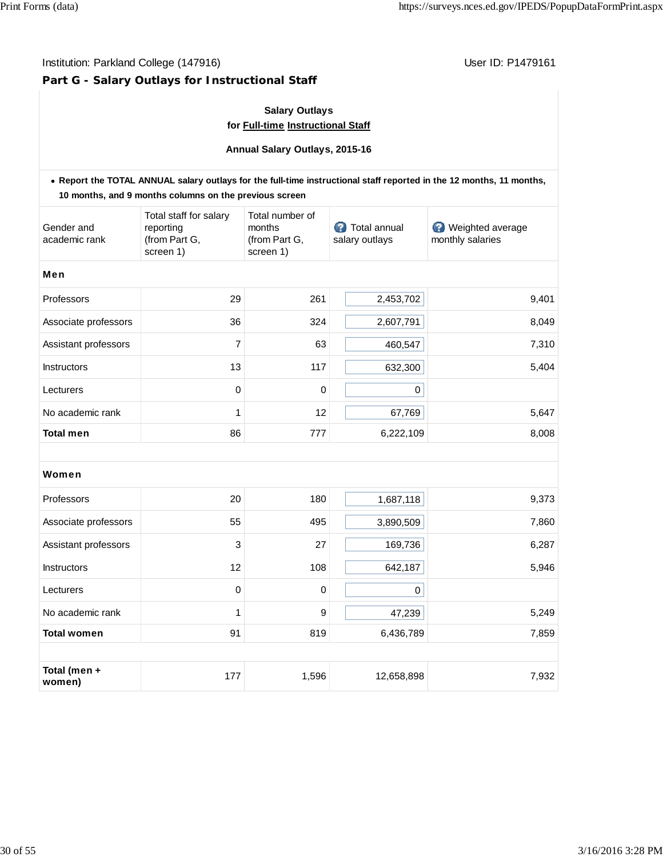Institution: Parkland College (147916) **Institution: Parkland College (147916)** Constantino College (147916)

## **Part G - Salary Outlays for Instructional Staff**

## **Salary Outlays for Full-time Instructional Staff**

**Annual Salary Outlays, 2015-16**

|                             | 10 months, and 9 months columns on the previous screen            |                                                         |                                | . Report the TOTAL ANNUAL salary outlays for the full-time instructional staff reported in the 12 months, 11 months, |
|-----------------------------|-------------------------------------------------------------------|---------------------------------------------------------|--------------------------------|----------------------------------------------------------------------------------------------------------------------|
| Gender and<br>academic rank | Total staff for salary<br>reporting<br>(from Part G,<br>screen 1) | Total number of<br>months<br>(from Part G,<br>screen 1) | Total annual<br>salary outlays | Weighted average<br>monthly salaries                                                                                 |
| Men                         |                                                                   |                                                         |                                |                                                                                                                      |
| Professors                  | 29                                                                | 261                                                     | 2,453,702                      | 9,401                                                                                                                |
| Associate professors        | 36                                                                | 324                                                     | 2,607,791                      | 8,049                                                                                                                |
| Assistant professors        | $\overline{7}$                                                    | 63                                                      | 460,547                        | 7,310                                                                                                                |
| <b>Instructors</b>          | 13                                                                | 117                                                     | 632,300                        | 5,404                                                                                                                |
| Lecturers                   | $\mathbf 0$                                                       | 0                                                       | $\pmb{0}$                      |                                                                                                                      |
| No academic rank            | 1                                                                 | 12                                                      | 67,769                         | 5,647                                                                                                                |
| <b>Total men</b>            | 86                                                                | 777                                                     | 6,222,109                      | 8,008                                                                                                                |
|                             |                                                                   |                                                         |                                |                                                                                                                      |
| Women                       |                                                                   |                                                         |                                |                                                                                                                      |
| Professors                  | 20                                                                | 180                                                     | 1,687,118                      | 9,373                                                                                                                |
| Associate professors        | 55                                                                | 495                                                     | 3,890,509                      | 7,860                                                                                                                |
| Assistant professors        | 3                                                                 | 27                                                      | 169,736                        | 6,287                                                                                                                |
| Instructors                 | 12                                                                | 108                                                     | 642,187                        | 5,946                                                                                                                |
| Lecturers                   | 0                                                                 | 0                                                       | $\pmb{0}$                      |                                                                                                                      |
| No academic rank            | 1                                                                 | 9                                                       | 47,239                         | 5,249                                                                                                                |
| <b>Total women</b>          | 91                                                                | 819                                                     | 6,436,789                      | 7,859                                                                                                                |
|                             |                                                                   |                                                         |                                |                                                                                                                      |
| Total (men +<br>women)      | 177                                                               | 1,596                                                   | 12,658,898                     | 7,932                                                                                                                |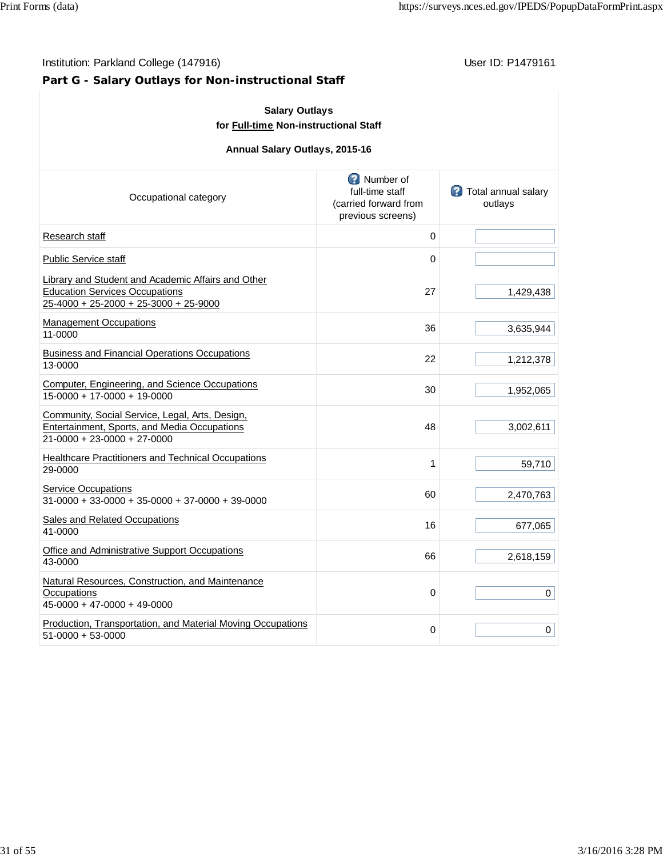## **Part G - Salary Outlays for Non-instructional Staff**

| <b>Salary Outlays</b><br>for Full-time Non-instructional Staff                                                                       |                                                                            |                                       |  |  |  |  |  |  |
|--------------------------------------------------------------------------------------------------------------------------------------|----------------------------------------------------------------------------|---------------------------------------|--|--|--|--|--|--|
| Annual Salary Outlays, 2015-16                                                                                                       |                                                                            |                                       |  |  |  |  |  |  |
| Occupational category                                                                                                                | Number of<br>full-time staff<br>(carried forward from<br>previous screens) | <b>Total annual salary</b><br>outlays |  |  |  |  |  |  |
| Research staff                                                                                                                       | 0                                                                          |                                       |  |  |  |  |  |  |
| <b>Public Service staff</b>                                                                                                          | 0                                                                          |                                       |  |  |  |  |  |  |
| Library and Student and Academic Affairs and Other<br><b>Education Services Occupations</b><br>25-4000 + 25-2000 + 25-3000 + 25-9000 | 27                                                                         | 1,429,438                             |  |  |  |  |  |  |
| <b>Management Occupations</b><br>11-0000                                                                                             | 36                                                                         | 3,635,944                             |  |  |  |  |  |  |
| <b>Business and Financial Operations Occupations</b><br>13-0000                                                                      | 22                                                                         | 1,212,378                             |  |  |  |  |  |  |
| Computer, Engineering, and Science Occupations<br>15-0000 + 17-0000 + 19-0000                                                        | 30                                                                         | 1,952,065                             |  |  |  |  |  |  |
| Community, Social Service, Legal, Arts, Design,<br>Entertainment, Sports, and Media Occupations<br>21-0000 + 23-0000 + 27-0000       | 48                                                                         | 3,002,611                             |  |  |  |  |  |  |
| <b>Healthcare Practitioners and Technical Occupations</b><br>29-0000                                                                 | 1                                                                          | 59,710                                |  |  |  |  |  |  |
| <b>Service Occupations</b><br>$31-0000 + 33-0000 + 35-0000 + 37-0000 + 39-0000$                                                      | 60                                                                         | 2,470,763                             |  |  |  |  |  |  |
| Sales and Related Occupations<br>41-0000                                                                                             | 16                                                                         | 677,065                               |  |  |  |  |  |  |
| Office and Administrative Support Occupations<br>43-0000                                                                             | 66                                                                         | 2,618,159                             |  |  |  |  |  |  |
| Natural Resources, Construction, and Maintenance<br>Occupations<br>45-0000 + 47-0000 + 49-0000                                       | 0                                                                          | 0                                     |  |  |  |  |  |  |
| Production, Transportation, and Material Moving Occupations<br>51-0000 + 53-0000                                                     | 0                                                                          | 0                                     |  |  |  |  |  |  |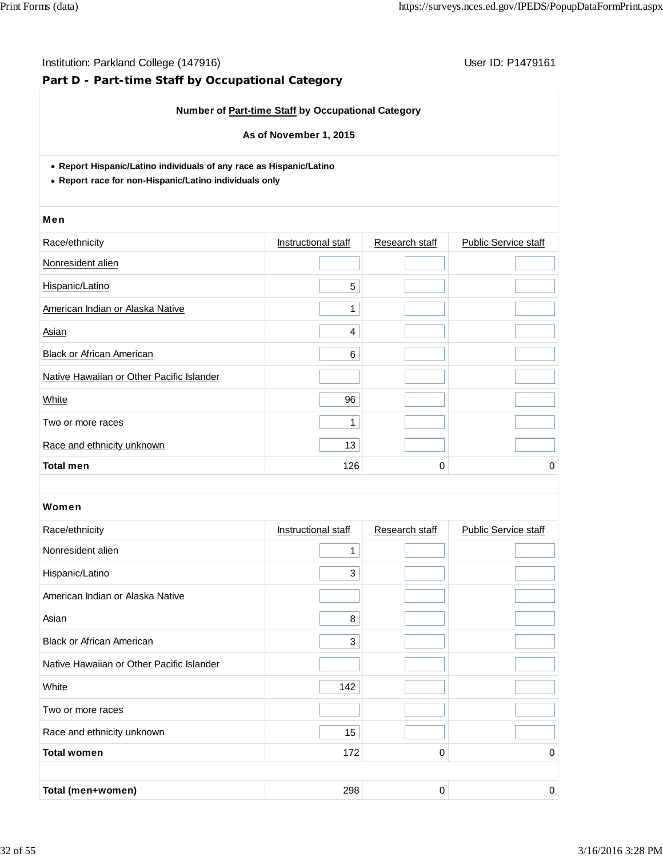## **Part D - Part-time Staff by Occupational Category**

## **Number of Part-time Staff by Occupational Category**

## **As of November 1, 2015**

**Report Hispanic/Latino individuals of any race as Hispanic/Latino**

**Report race for non-Hispanic/Latino individuals only**

#### Men

| Race/ethnicity                            | Instructional staff | Research staff | <b>Public Service staff</b> |
|-------------------------------------------|---------------------|----------------|-----------------------------|
| Nonresident alien                         |                     |                |                             |
| Hispanic/Latino                           | 5                   |                |                             |
| American Indian or Alaska Native          | 1                   |                |                             |
| Asian                                     | 4                   |                |                             |
| <b>Black or African American</b>          | 6                   |                |                             |
| Native Hawaiian or Other Pacific Islander |                     |                |                             |
| White                                     | 96                  |                |                             |
| Two or more races                         | 1                   |                |                             |
| Race and ethnicity unknown                | 13                  |                |                             |
| <b>Total men</b>                          | 126                 | 0              | 0                           |

| Race/ethnicity                            | Instructional staff | Research staff | <b>Public Service staff</b> |
|-------------------------------------------|---------------------|----------------|-----------------------------|
| Nonresident alien                         | 1                   |                |                             |
| Hispanic/Latino                           | 3                   |                |                             |
| American Indian or Alaska Native          |                     |                |                             |
| Asian                                     | 8                   |                |                             |
| <b>Black or African American</b>          | 3                   |                |                             |
| Native Hawaiian or Other Pacific Islander |                     |                |                             |
| White                                     | 142                 |                |                             |
| Two or more races                         |                     |                |                             |
| Race and ethnicity unknown                | 15                  |                |                             |
| <b>Total women</b>                        | 172                 | 0              | 0                           |
|                                           |                     |                |                             |
| Total (men+women)                         | 298                 | 0              | 0                           |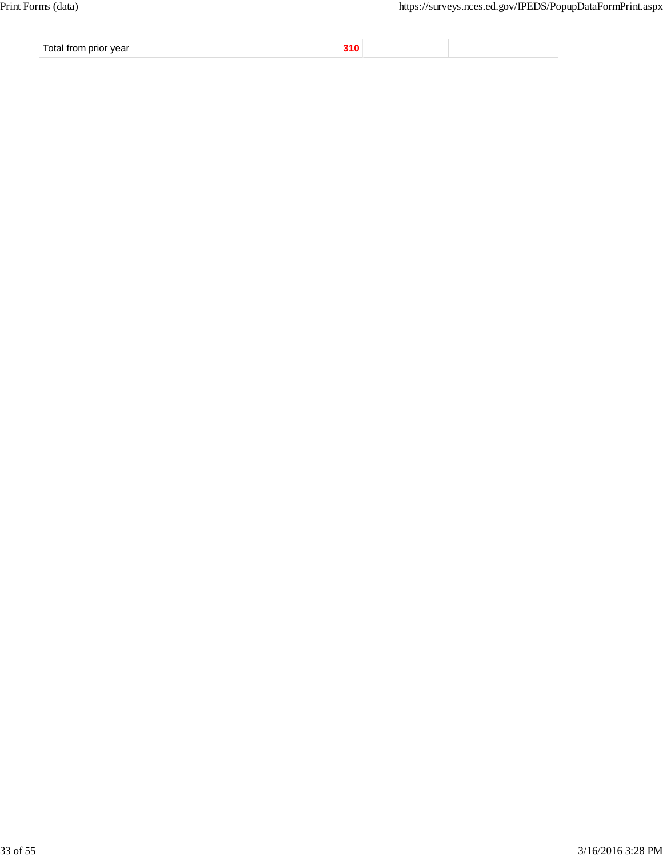Total from prior year **310**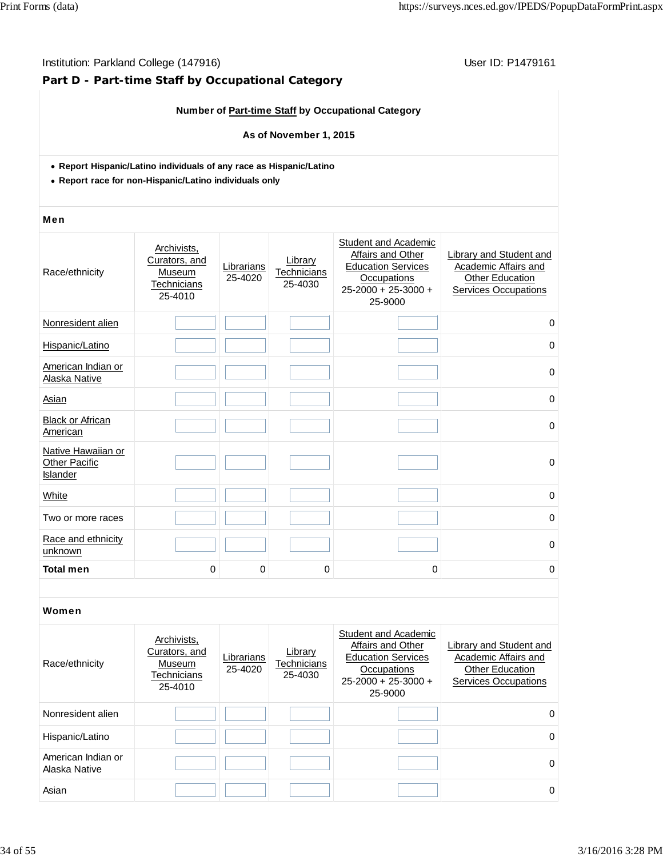## **Part D - Part-time Staff by Occupational Category**

## **Number of Part-time Staff by Occupational Category**

## **As of November 1, 2015**

- **Report Hispanic/Latino individuals of any race as Hispanic/Latino**
- **Report race for non-Hispanic/Latino individuals only**

#### Men

| Race/ethnicity                                         | Archivists,<br>Curators, and<br>Museum<br><b>Technicians</b><br>25-4010 | Librarians<br>25-4020 | Library<br>Technicians<br>25-4030 | Student and Academic<br>Affairs and Other<br><b>Education Services</b><br><b>Occupations</b><br>$25 - 2000 + 25 - 3000 +$<br>25-9000 | Library and Student and<br>Academic Affairs and<br><b>Other Education</b><br><b>Services Occupations</b> |
|--------------------------------------------------------|-------------------------------------------------------------------------|-----------------------|-----------------------------------|--------------------------------------------------------------------------------------------------------------------------------------|----------------------------------------------------------------------------------------------------------|
| Nonresident alien                                      |                                                                         |                       |                                   |                                                                                                                                      | 0                                                                                                        |
| Hispanic/Latino                                        |                                                                         |                       |                                   |                                                                                                                                      | 0                                                                                                        |
| American Indian or<br><b>Alaska Native</b>             |                                                                         |                       |                                   |                                                                                                                                      | $\mathbf 0$                                                                                              |
| Asian                                                  |                                                                         |                       |                                   |                                                                                                                                      | 0                                                                                                        |
| <b>Black or African</b><br>American                    |                                                                         |                       |                                   |                                                                                                                                      | $\mathbf 0$                                                                                              |
| Native Hawaiian or<br><b>Other Pacific</b><br>Islander |                                                                         |                       |                                   |                                                                                                                                      | $\mathbf 0$                                                                                              |
| White                                                  |                                                                         |                       |                                   |                                                                                                                                      | $\mathbf 0$                                                                                              |
| Two or more races                                      |                                                                         |                       |                                   |                                                                                                                                      | 0                                                                                                        |
| Race and ethnicity<br>unknown                          |                                                                         |                       |                                   |                                                                                                                                      | $\Omega$                                                                                                 |
| <b>Total men</b>                                       | 0                                                                       | 0                     | 0                                 | 0                                                                                                                                    | 0                                                                                                        |

| Race/ethnicity                      | Archivists,<br>Curators, and<br>Museum<br>Technicians<br>25-4010 | Librarians<br>25-4020 | Library<br>Technicians<br>25-4030 | Student and Academic<br>Affairs and Other<br><b>Education Services</b><br>Occupations<br>$25 - 2000 + 25 - 3000 +$<br>25-9000 | Library and Student and<br>Academic Affairs and<br><b>Other Education</b><br>Services Occupations |
|-------------------------------------|------------------------------------------------------------------|-----------------------|-----------------------------------|-------------------------------------------------------------------------------------------------------------------------------|---------------------------------------------------------------------------------------------------|
| Nonresident alien                   |                                                                  |                       |                                   |                                                                                                                               | 0                                                                                                 |
| Hispanic/Latino                     |                                                                  |                       |                                   |                                                                                                                               | 0                                                                                                 |
| American Indian or<br>Alaska Native |                                                                  |                       |                                   |                                                                                                                               | $\Omega$                                                                                          |
| Asian                               |                                                                  |                       |                                   |                                                                                                                               | 0                                                                                                 |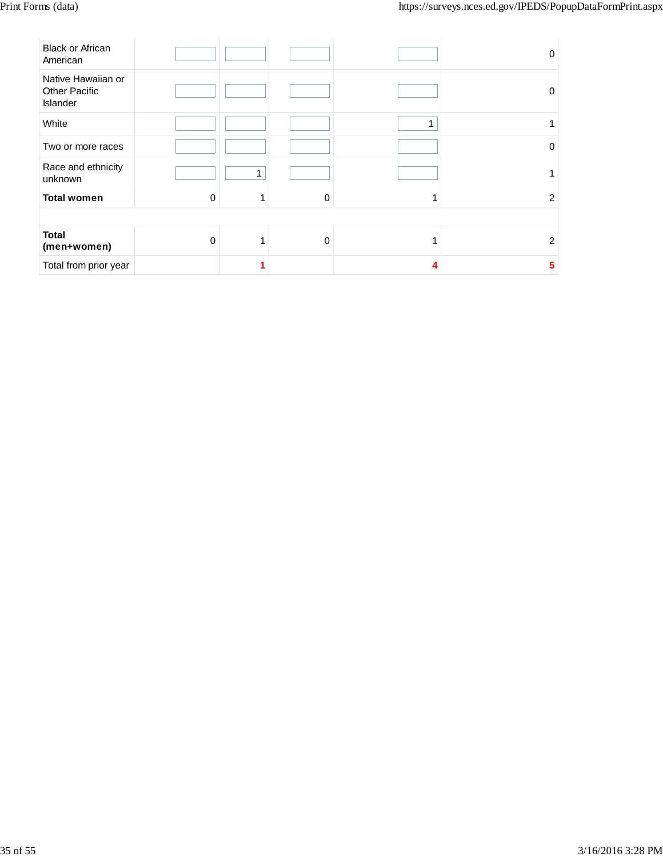| <b>Black or African</b><br>American                    |          |   |          |   | $\Omega$ |
|--------------------------------------------------------|----------|---|----------|---|----------|
| Native Hawaiian or<br><b>Other Pacific</b><br>Islander |          |   |          |   | 0        |
| White                                                  |          |   |          | 1 |          |
| Two or more races                                      |          |   |          |   | 0        |
| Race and ethnicity<br>unknown                          |          | 1 |          |   |          |
| <b>Total women</b>                                     | 0        | 1 | $\Omega$ | ۸ | 2        |
|                                                        |          |   |          |   |          |
| <b>Total</b><br>(men+women)                            | $\Omega$ | 1 | $\Omega$ |   | 2        |
| Total from prior year                                  |          |   |          | Δ | 5        |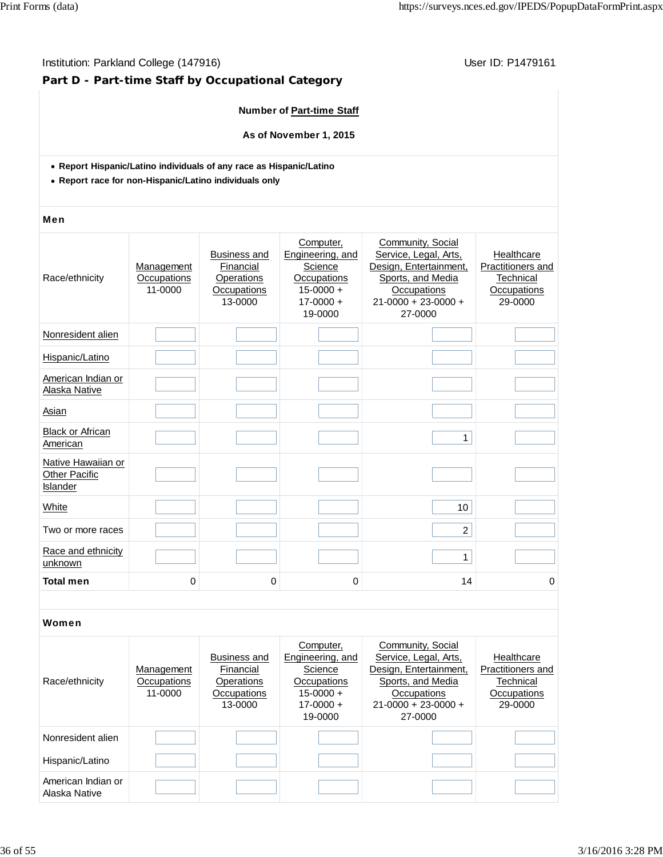## Institution: Parkland College (147916) **Institution: Parkland College (147916**)

## **Part D - Part-time Staff by Occupational Category**

## **Number of Part-time Staff**

**As of November 1, 2015**

- **Report Hispanic/Latino individuals of any race as Hispanic/Latino**
- **Report race for non-Hispanic/Latino individuals only**

#### Men

| Race/ethnicity                                  | Management<br>Occupations<br>11-0000 | <b>Business and</b><br>Financial<br>Operations<br>Occupations<br>13-0000 | Computer,<br>Engineering, and<br>Science<br>Occupations<br>$15 - 0000 +$<br>$17 - 0000 +$<br>19-0000 | Community, Social<br>Service, Legal, Arts,<br>Design, Entertainment,<br>Sports, and Media<br>Occupations<br>$21 - 0000 + 23 - 0000 +$<br>27-0000 | Healthcare<br>Practitioners and<br>Technical<br>Occupations<br>29-0000 |
|-------------------------------------------------|--------------------------------------|--------------------------------------------------------------------------|------------------------------------------------------------------------------------------------------|--------------------------------------------------------------------------------------------------------------------------------------------------|------------------------------------------------------------------------|
| Nonresident alien                               |                                      |                                                                          |                                                                                                      |                                                                                                                                                  |                                                                        |
| Hispanic/Latino                                 |                                      |                                                                          |                                                                                                      |                                                                                                                                                  |                                                                        |
| American Indian or<br>Alaska Native             |                                      |                                                                          |                                                                                                      |                                                                                                                                                  |                                                                        |
| Asian                                           |                                      |                                                                          |                                                                                                      |                                                                                                                                                  |                                                                        |
| <b>Black or African</b><br>American             |                                      |                                                                          |                                                                                                      | $\mathbf{1}$                                                                                                                                     |                                                                        |
| Native Hawaiian or<br>Other Pacific<br>Islander |                                      |                                                                          |                                                                                                      |                                                                                                                                                  |                                                                        |
| <b>White</b>                                    |                                      |                                                                          |                                                                                                      | 10                                                                                                                                               |                                                                        |
| Two or more races                               |                                      |                                                                          |                                                                                                      | $\overline{2}$                                                                                                                                   |                                                                        |
| Race and ethnicity<br>unknown                   |                                      |                                                                          |                                                                                                      | $\mathbf{1}$                                                                                                                                     |                                                                        |
| <b>Total men</b>                                | 0                                    | 0                                                                        | 0                                                                                                    | 14                                                                                                                                               | 0                                                                      |

| Race/ethnicity                      | Management<br>Occupations<br>11-0000 | <b>Business and</b><br>Financial<br>Operations<br>Occupations<br>13-0000 | Computer,<br>Engineering, and<br>Science<br>Occupations<br>$15-0000 +$<br>$17-0000 +$<br>19-0000 | Community, Social<br>Service, Legal, Arts,<br>Design, Entertainment,<br>Sports, and Media<br><b>Occupations</b><br>$21-0000 + 23-0000 +$<br>27-0000 | Healthcare<br>Practitioners and<br>Technical<br>Occupations<br>29-0000 |
|-------------------------------------|--------------------------------------|--------------------------------------------------------------------------|--------------------------------------------------------------------------------------------------|-----------------------------------------------------------------------------------------------------------------------------------------------------|------------------------------------------------------------------------|
| Nonresident alien                   |                                      |                                                                          |                                                                                                  |                                                                                                                                                     |                                                                        |
| Hispanic/Latino                     |                                      |                                                                          |                                                                                                  |                                                                                                                                                     |                                                                        |
| American Indian or<br>Alaska Native |                                      |                                                                          |                                                                                                  |                                                                                                                                                     |                                                                        |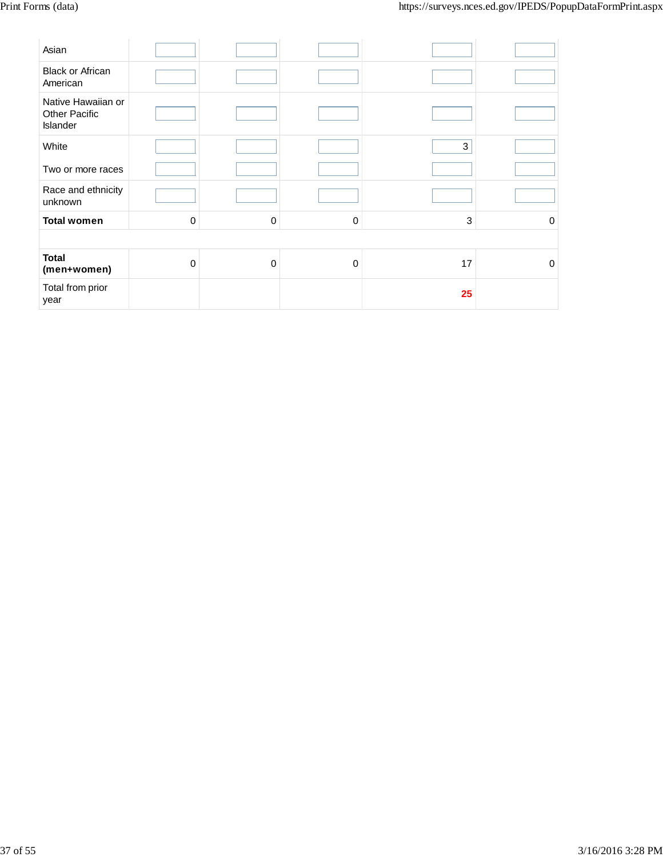| Asian                                                  |             |              |          |    |          |
|--------------------------------------------------------|-------------|--------------|----------|----|----------|
| <b>Black or African</b><br>American                    |             |              |          |    |          |
| Native Hawaiian or<br><b>Other Pacific</b><br>Islander |             |              |          |    |          |
| White                                                  |             |              |          | 3  |          |
| Two or more races                                      |             |              |          |    |          |
| Race and ethnicity<br>unknown                          |             |              |          |    |          |
| <b>Total women</b>                                     | $\mathbf 0$ | $\mathbf{0}$ | $\Omega$ | 3  | $\Omega$ |
|                                                        |             |              |          |    |          |
| <b>Total</b><br>(men+women)                            | $\mathbf 0$ | $\mathbf{0}$ | $\Omega$ | 17 | $\Omega$ |
| Total from prior<br>year                               |             |              |          | 25 |          |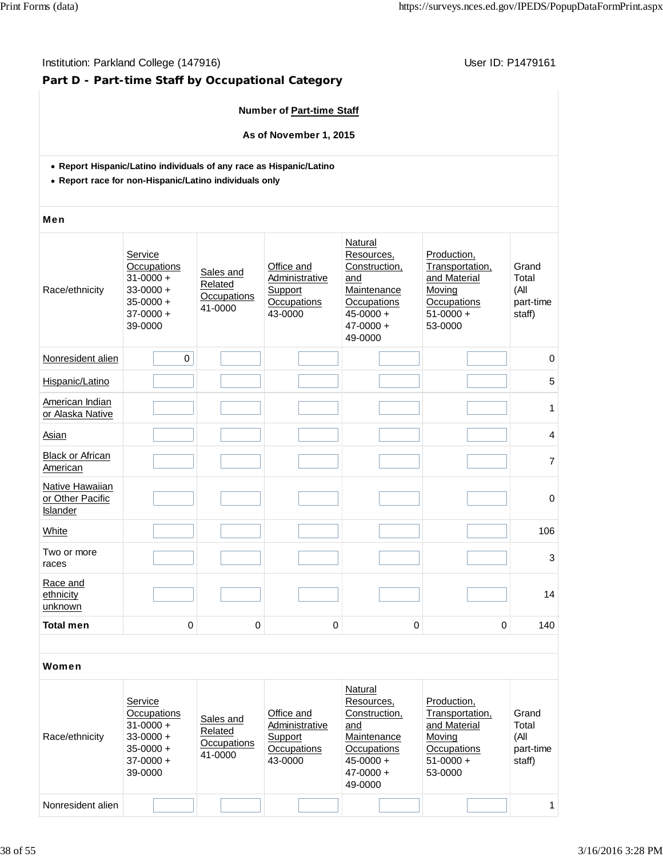## Institution: Parkland College (147916) **Institution: Parkland College (147916**)

## **Part D - Part-time Staff by Occupational Category**

## **Number of Part-time Staff**

**As of November 1, 2015**

- **Report Hispanic/Latino individuals of any race as Hispanic/Latino**
- **Report race for non-Hispanic/Latino individuals only**

#### Men

| Race/ethnicity                                  | Service<br>Occupations<br>$31 - 0000 +$<br>$33 - 0000 +$<br>$35 - 0000 +$<br>$37-0000 +$<br>39-0000 | Sales and<br>Related<br>Occupations<br>41-0000 | Office and<br>Administrative<br>Support<br>Occupations<br>43-0000 | Natural<br>Resources,<br>Construction,<br>and<br>Maintenance<br>Occupations<br>$45 - 0000 +$<br>$47 - 0000 +$<br>49-0000 | Production,<br>Transportation,<br>and Material<br>Moving<br>Occupations<br>$51-0000 +$<br>53-0000 | Grand<br>Total<br>(All<br>part-time<br>staff) |
|-------------------------------------------------|-----------------------------------------------------------------------------------------------------|------------------------------------------------|-------------------------------------------------------------------|--------------------------------------------------------------------------------------------------------------------------|---------------------------------------------------------------------------------------------------|-----------------------------------------------|
| Nonresident alien                               | $\mathbf 0$                                                                                         |                                                |                                                                   |                                                                                                                          |                                                                                                   | $\mathbf 0$                                   |
| Hispanic/Latino                                 |                                                                                                     |                                                |                                                                   |                                                                                                                          |                                                                                                   | 5                                             |
| American Indian<br>or Alaska Native             |                                                                                                     |                                                |                                                                   |                                                                                                                          |                                                                                                   | 1                                             |
| Asian                                           |                                                                                                     |                                                |                                                                   |                                                                                                                          |                                                                                                   | 4                                             |
| <b>Black or African</b><br>American             |                                                                                                     |                                                |                                                                   |                                                                                                                          |                                                                                                   | $\overline{7}$                                |
| Native Hawaiian<br>or Other Pacific<br>Islander |                                                                                                     |                                                |                                                                   |                                                                                                                          |                                                                                                   | $\mathbf 0$                                   |
| White                                           |                                                                                                     |                                                |                                                                   |                                                                                                                          |                                                                                                   | 106                                           |
| Two or more<br>races                            |                                                                                                     |                                                |                                                                   |                                                                                                                          |                                                                                                   | 3                                             |
| Race and<br>ethnicity<br>unknown                |                                                                                                     |                                                |                                                                   |                                                                                                                          |                                                                                                   | 14                                            |
| <b>Total men</b>                                | 0                                                                                                   | 0                                              | 0                                                                 | 0                                                                                                                        | 0                                                                                                 | 140                                           |
|                                                 |                                                                                                     |                                                |                                                                   |                                                                                                                          |                                                                                                   |                                               |

| Race/ethnicity    | Service<br>Occupations<br>$31 - 0000 +$<br>$33-0000 +$<br>$35 - 0000 +$<br>$37-0000 +$<br>39-0000 | Sales and<br>Related<br>Occupations<br>41-0000 | Office and<br>Administrative<br>Support<br>Occupations<br>43-0000 | Natural<br>Resources,<br>Construction,<br>and<br>Maintenance<br>Occupations<br>$45 - 0000 +$<br>$47 - 0000 +$<br>49-0000 | Production.<br>Transportation,<br>and Material<br>Moving<br>Occupations<br>$51-0000 +$<br>53-0000 | Grand<br>Total<br>(All<br>part-time<br>staff) |
|-------------------|---------------------------------------------------------------------------------------------------|------------------------------------------------|-------------------------------------------------------------------|--------------------------------------------------------------------------------------------------------------------------|---------------------------------------------------------------------------------------------------|-----------------------------------------------|
| Nonresident alien |                                                                                                   |                                                |                                                                   |                                                                                                                          |                                                                                                   | 1                                             |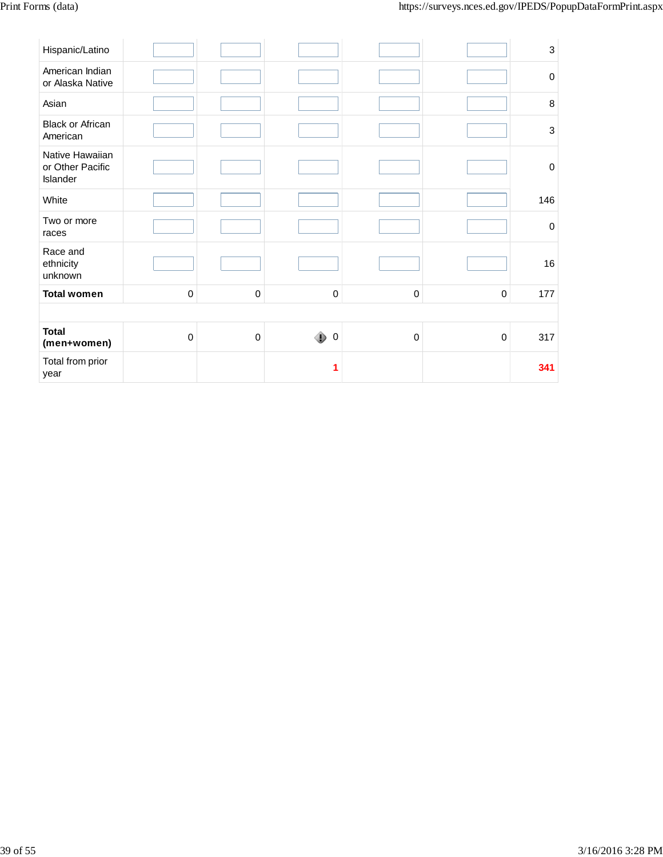| Hispanic/Latino                                 |             |             |                  |             |             | $\ensuremath{\mathsf{3}}$ |
|-------------------------------------------------|-------------|-------------|------------------|-------------|-------------|---------------------------|
| American Indian<br>or Alaska Native             |             |             |                  |             |             | $\pmb{0}$                 |
| Asian                                           |             |             |                  |             |             | $\,8\,$                   |
| Black or African<br>American                    |             |             |                  |             |             | $\ensuremath{\mathsf{3}}$ |
| Native Hawaiian<br>or Other Pacific<br>Islander |             |             |                  |             |             | $\pmb{0}$                 |
| White                                           |             |             |                  |             |             | 146                       |
| Two or more<br>races                            |             |             |                  |             |             | $\pmb{0}$                 |
| Race and<br>ethnicity<br>unknown                |             |             |                  |             |             | 16                        |
| <b>Total women</b>                              | $\pmb{0}$   | $\pmb{0}$   | $\pmb{0}$        | $\mathsf 0$ | $\mathbf 0$ | 177                       |
|                                                 |             |             |                  |             |             |                           |
| <b>Total</b><br>(men+women)                     | $\mathbf 0$ | $\mathbf 0$ | ۰<br>$\mathbf 0$ | $\mathsf 0$ | 0           | 317                       |
| Total from prior<br>year                        |             |             | 1                |             |             | 341                       |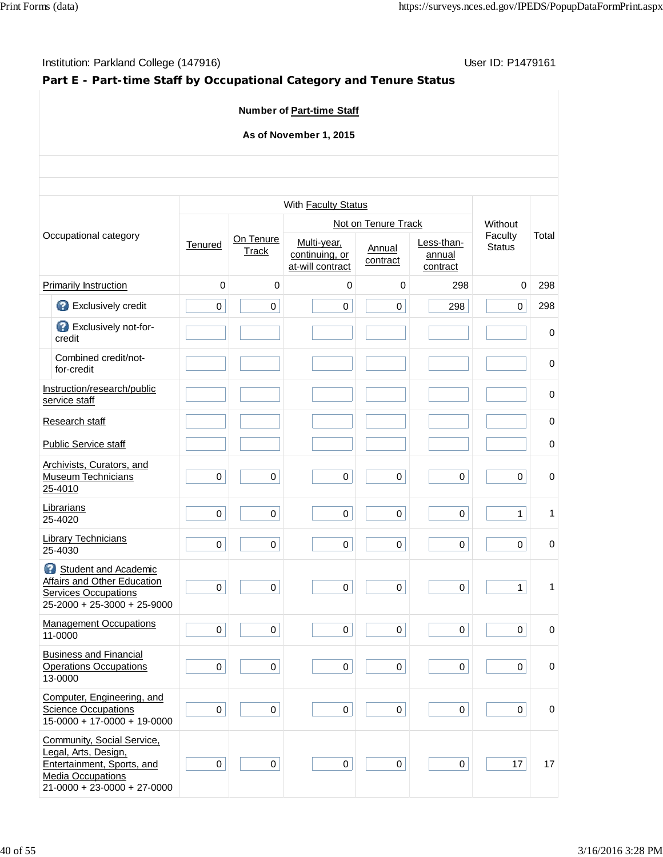## **Part E - Part-time Staff by Occupational Category and Tenure Status**

## **Number of Part-time Staff**

## **As of November 1, 2015**

| Occupational category |                                                                                                                                               |             |                    | With Faculty Status                               |                     |                                  |                          |             |
|-----------------------|-----------------------------------------------------------------------------------------------------------------------------------------------|-------------|--------------------|---------------------------------------------------|---------------------|----------------------------------|--------------------------|-------------|
|                       |                                                                                                                                               |             |                    |                                                   | Not on Tenure Track |                                  | Without                  |             |
|                       |                                                                                                                                               | Tenured     | On Tenure<br>Track | Multi-year,<br>continuing, or<br>at-will contract | Annual<br>contract  | Less-than-<br>annual<br>contract | Faculty<br><b>Status</b> | Total       |
|                       | <b>Primarily Instruction</b>                                                                                                                  | $\mathbf 0$ | $\mathbf 0$        | 0                                                 | 0                   | 298                              | $\mathbf 0$              | 298         |
|                       | €<br>Exclusively credit                                                                                                                       | 0           | $\mathsf 0$        | $\pmb{0}$                                         | 0                   | 298                              | 0                        | 298         |
|                       | Exclusively not-for-<br>credit                                                                                                                |             |                    |                                                   |                     |                                  |                          | $\pmb{0}$   |
|                       | Combined credit/not-<br>for-credit                                                                                                            |             |                    |                                                   |                     |                                  |                          | 0           |
|                       | Instruction/research/public<br>service staff                                                                                                  |             |                    |                                                   |                     |                                  |                          | 0           |
|                       | Research staff                                                                                                                                |             |                    |                                                   |                     |                                  |                          | $\pmb{0}$   |
|                       | <b>Public Service staff</b>                                                                                                                   |             |                    |                                                   |                     |                                  |                          | $\mathbf 0$ |
|                       | Archivists, Curators, and<br><b>Museum Technicians</b><br>25-4010                                                                             | $\pmb{0}$   | $\mathsf 0$        | $\mathsf 0$                                       | $\mathsf 0$         | $\mathbf 0$                      | 0                        | $\mathbf 0$ |
|                       | Librarians<br>25-4020                                                                                                                         | $\mathbf 0$ | $\mathbf 0$        | $\mathbf 0$                                       | 0                   | $\mathbf 0$                      | $\mathbf{1}$             | 1           |
|                       | <b>Library Technicians</b><br>25-4030                                                                                                         | $\mathsf 0$ | 0                  | $\pmb{0}$                                         | $\mathbf 0$         | 0                                | $\mathbf 0$              | 0           |
|                       | Student and Academic<br><b>Affairs and Other Education</b><br><b>Services Occupations</b><br>$25-2000 + 25-3000 + 25-9000$                    | $\pmb{0}$   | $\mathsf 0$        | $\mathsf 0$                                       | $\mathbf 0$         | $\mathbf 0$                      | $\mathbf{1}$             | 1           |
|                       | <b>Management Occupations</b><br>11-0000                                                                                                      | $\mathbf 0$ | $\mathbf 0$        | $\pmb{0}$                                         | $\mathbf 0$         | 0                                | $\Omega$                 | 0           |
|                       | <b>Business and Financial</b><br><b>Operations Occupations</b><br>13-0000                                                                     | $\mathbf 0$ | $\Omega$           | $\mathbf 0$                                       | $\pmb{0}$           | $\Omega$                         | 0                        | 0           |
|                       | Computer, Engineering, and<br><b>Science Occupations</b><br>$15-0000 + 17-0000 + 19-0000$                                                     | $\mathbf 0$ | $\mathbf 0$        | $\pmb{0}$                                         | $\mathbf 0$         | 0                                | 0                        | 0           |
|                       | Community, Social Service,<br>Legal, Arts, Design,<br>Entertainment, Sports, and<br><b>Media Occupations</b><br>$21-0000 + 23-0000 + 27-0000$ | $\mathbf 0$ | $\mathbf 0$        | $\pmb{0}$                                         | 0                   | 0                                | 17                       | 17          |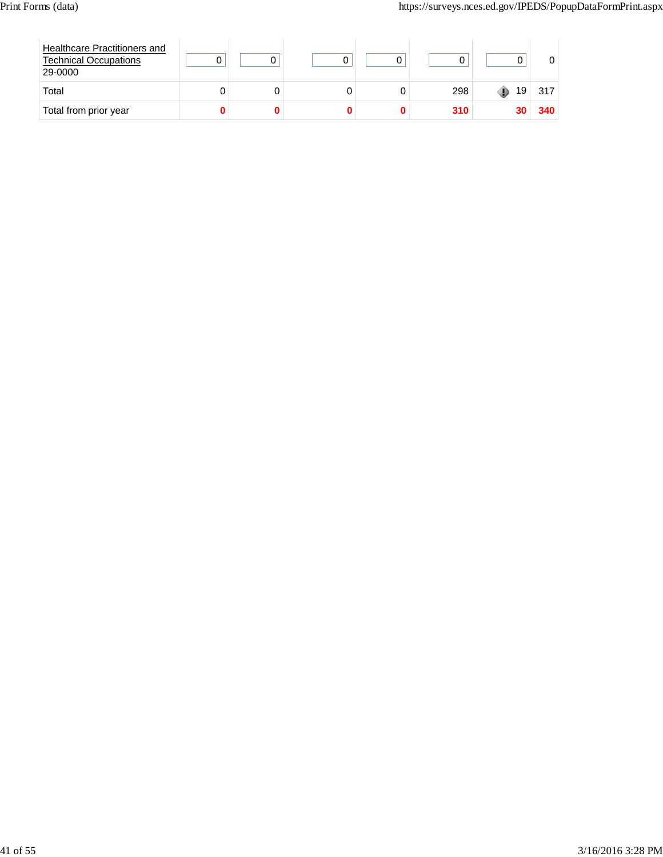| Healthcare Practitioners and<br><b>Technical Occupations</b><br>29-0000 |  |  |     |    |     |
|-------------------------------------------------------------------------|--|--|-----|----|-----|
| Total                                                                   |  |  | 298 | 19 | 317 |
| Total from prior year                                                   |  |  | 310 |    | 340 |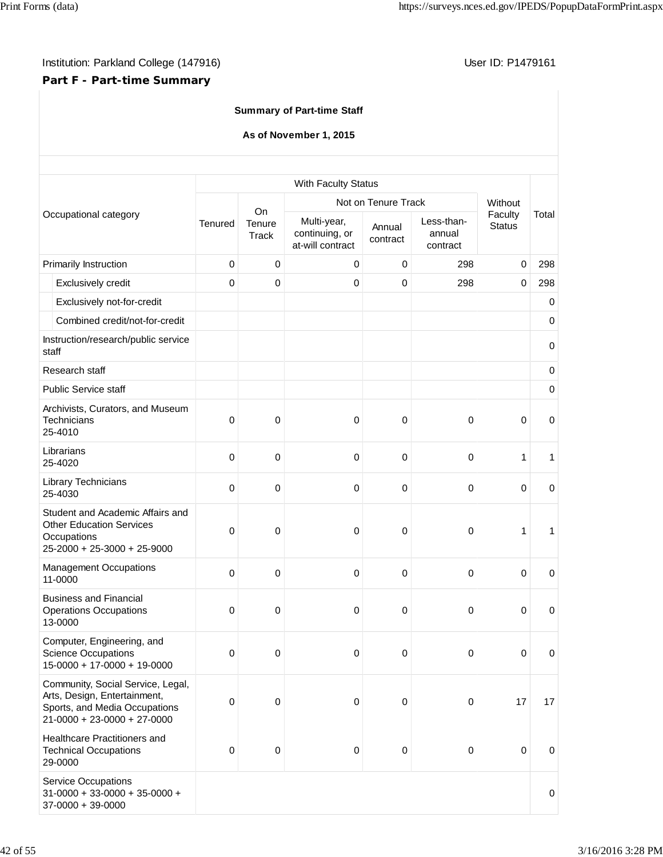## **Part F - Part-time Summary**

|  |  | <b>Summary of Part-time Staff</b> |  |
|--|--|-----------------------------------|--|
|--|--|-----------------------------------|--|

## **As of November 1, 2015**

|                                                                                                                                     |         |                 | With Faculty Status                               |                     |                                  |                                                                                                                           |             |
|-------------------------------------------------------------------------------------------------------------------------------------|---------|-----------------|---------------------------------------------------|---------------------|----------------------------------|---------------------------------------------------------------------------------------------------------------------------|-------------|
|                                                                                                                                     |         | On              |                                                   | Not on Tenure Track |                                  | Without                                                                                                                   |             |
| Occupational category                                                                                                               | Tenured | Tenure<br>Track | Multi-year,<br>continuing, or<br>at-will contract | Annual<br>contract  | Less-than-<br>annual<br>contract | Faculty<br><b>Status</b><br>0<br>$\mathbf 0$<br>$\mathbf 0$<br>1<br>$\mathbf 0$<br>1<br>0<br>$\pmb{0}$<br>$\pmb{0}$<br>17 | Total       |
| Primarily Instruction                                                                                                               | 0       | $\mathbf 0$     | 0                                                 | 0                   | 298                              |                                                                                                                           | 298         |
| Exclusively credit                                                                                                                  | 0       | $\mathbf 0$     | 0                                                 | 0                   | 298                              |                                                                                                                           | 298         |
| Exclusively not-for-credit                                                                                                          |         |                 |                                                   |                     |                                  |                                                                                                                           | 0           |
| Combined credit/not-for-credit                                                                                                      |         |                 |                                                   |                     |                                  |                                                                                                                           | $\mathbf 0$ |
| Instruction/research/public service<br>staff                                                                                        |         |                 |                                                   |                     |                                  |                                                                                                                           | $\mathbf 0$ |
| Research staff                                                                                                                      |         |                 |                                                   |                     |                                  |                                                                                                                           | 0           |
| Public Service staff                                                                                                                |         |                 |                                                   |                     |                                  |                                                                                                                           | 0           |
| Archivists, Curators, and Museum<br><b>Technicians</b><br>25-4010                                                                   | 0       | 0               | 0                                                 | $\mathbf 0$         | 0                                |                                                                                                                           | 0           |
| Librarians<br>25-4020                                                                                                               | 0       | $\mathbf 0$     | 0                                                 | $\mathbf 0$         | $\mathbf 0$                      |                                                                                                                           | 1           |
| Library Technicians<br>25-4030                                                                                                      | 0       | $\mathbf 0$     | 0                                                 | $\mathbf 0$         | 0                                |                                                                                                                           | $\mathbf 0$ |
| Student and Academic Affairs and<br><b>Other Education Services</b><br>Occupations<br>25-2000 + 25-3000 + 25-9000                   | 0       | 0               | 0                                                 | 0                   | 0                                |                                                                                                                           | 1           |
| <b>Management Occupations</b><br>11-0000                                                                                            | 0       | $\mathbf 0$     | 0                                                 | 0                   | 0                                |                                                                                                                           | 0           |
| <b>Business and Financial</b><br><b>Operations Occupations</b><br>13-0000                                                           | 0       | $\pmb{0}$       | 0                                                 | 0                   | 0                                |                                                                                                                           | 0           |
| Computer, Engineering, and<br><b>Science Occupations</b><br>$15-0000 + 17-0000 + 19-0000$                                           | 0       | $\mathbf 0$     | 0                                                 | 0                   | $\mathbf 0$                      |                                                                                                                           | 0           |
| Community, Social Service, Legal,<br>Arts, Design, Entertainment,<br>Sports, and Media Occupations<br>$21-0000 + 23-0000 + 27-0000$ | 0       | $\pmb{0}$       | 0                                                 | $\pmb{0}$           | $\,0\,$                          |                                                                                                                           | 17          |
| Healthcare Practitioners and<br><b>Technical Occupations</b><br>29-0000                                                             | 0       | $\pmb{0}$       | 0                                                 | 0                   | $\,0\,$                          | $\mathbf 0$                                                                                                               | 0           |
| Service Occupations<br>$31 - 0000 + 33 - 0000 + 35 - 0000 +$<br>$37-0000 + 39-0000$                                                 |         |                 |                                                   |                     |                                  |                                                                                                                           | 0           |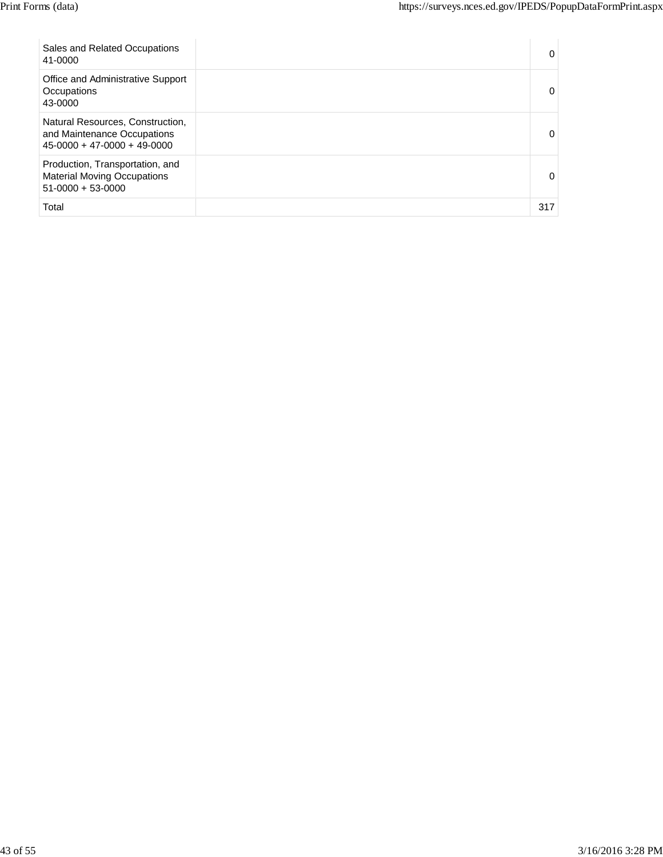| Sales and Related Occupations<br>41-0000                                                         | 0   |
|--------------------------------------------------------------------------------------------------|-----|
| Office and Administrative Support<br>Occupations<br>43-0000                                      | 0   |
| Natural Resources, Construction,<br>and Maintenance Occupations<br>$45-0000 + 47-0000 + 49-0000$ | 0   |
| Production, Transportation, and<br><b>Material Moving Occupations</b><br>$51-0000 + 53-0000$     | 0   |
| Total                                                                                            | 317 |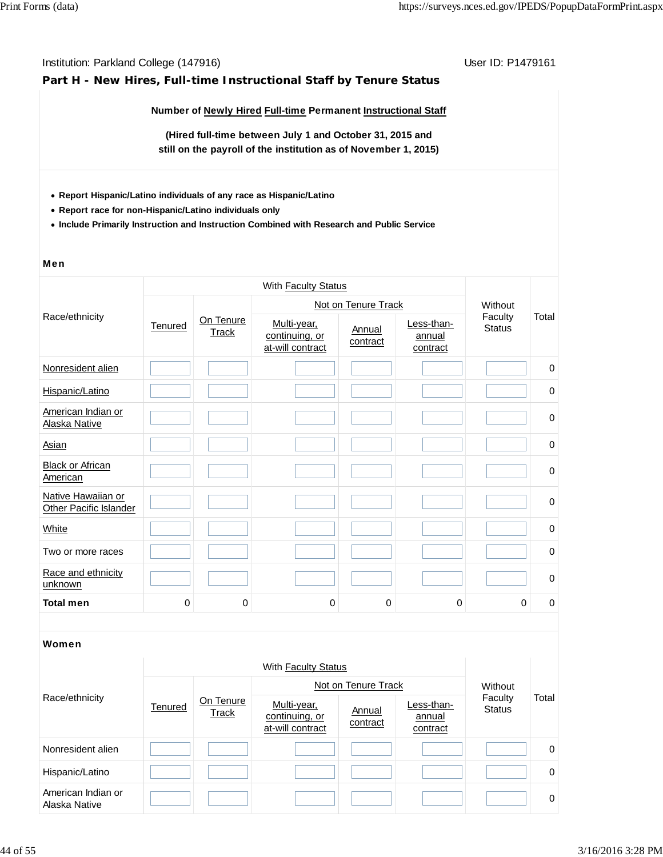## **Part H - New Hires, Full-time Instructional Staff by Tenure Status**

**Number of Newly Hired Full-time Permanent Instructional Staff**

**(Hired full-time between July 1 and October 31, 2015 and still on the payroll of the institution as of November 1, 2015)**

- **Report Hispanic/Latino individuals of any race as Hispanic/Latino**
- **Report race for non-Hispanic/Latino individuals only**
- **Include Primarily Instruction and Instruction Combined with Research and Public Service**

#### Men

|                                                     |                                      | With <b>Faculty Status</b>                        |                    |                                  |                          |         |             |  |  |  |
|-----------------------------------------------------|--------------------------------------|---------------------------------------------------|--------------------|----------------------------------|--------------------------|---------|-------------|--|--|--|
|                                                     |                                      |                                                   |                    | Not on Tenure Track              |                          | Without |             |  |  |  |
| Race/ethnicity                                      | On Tenure<br>Tenured<br><b>Track</b> | Multi-year,<br>continuing, or<br>at-will contract | Annual<br>contract | Less-than-<br>annual<br>contract | Faculty<br><b>Status</b> | Total   |             |  |  |  |
| Nonresident alien                                   |                                      |                                                   |                    |                                  |                          |         | $\mathbf 0$ |  |  |  |
| Hispanic/Latino                                     |                                      |                                                   |                    |                                  |                          |         | 0           |  |  |  |
| American Indian or<br>Alaska Native                 |                                      |                                                   |                    |                                  |                          |         | $\pmb{0}$   |  |  |  |
| <b>Asian</b>                                        |                                      |                                                   |                    |                                  |                          |         | 0           |  |  |  |
| <b>Black or African</b><br>American                 |                                      |                                                   |                    |                                  |                          |         | $\mathbf 0$ |  |  |  |
| Native Hawaiian or<br><b>Other Pacific Islander</b> |                                      |                                                   |                    |                                  |                          |         | $\mathbf 0$ |  |  |  |
| White                                               |                                      |                                                   |                    |                                  |                          |         | 0           |  |  |  |
| Two or more races                                   |                                      |                                                   |                    |                                  |                          |         | $\mathbf 0$ |  |  |  |
| Race and ethnicity<br>unknown                       |                                      |                                                   |                    |                                  |                          |         | $\mathbf 0$ |  |  |  |
| <b>Total men</b>                                    | 0                                    | 0                                                 | 0                  | 0                                | 0                        | 0       | 0           |  |  |  |

| Race/ethnicity                      |         | With Faculty Status |                                                   |                    |                                  |                          |          |  |  |
|-------------------------------------|---------|---------------------|---------------------------------------------------|--------------------|----------------------------------|--------------------------|----------|--|--|
|                                     | Tenured |                     | Not on Tenure Track                               | Without            |                                  |                          |          |  |  |
|                                     |         | On Tenure<br>Track  | Multi-year,<br>continuing, or<br>at-will contract | Annual<br>contract | Less-than-<br>annual<br>contract | Faculty<br><b>Status</b> | Total    |  |  |
| Nonresident alien                   |         |                     |                                                   |                    |                                  |                          | 0        |  |  |
| Hispanic/Latino                     |         |                     |                                                   |                    |                                  |                          | $\Omega$ |  |  |
| American Indian or<br>Alaska Native |         |                     |                                                   |                    |                                  |                          | $\Omega$ |  |  |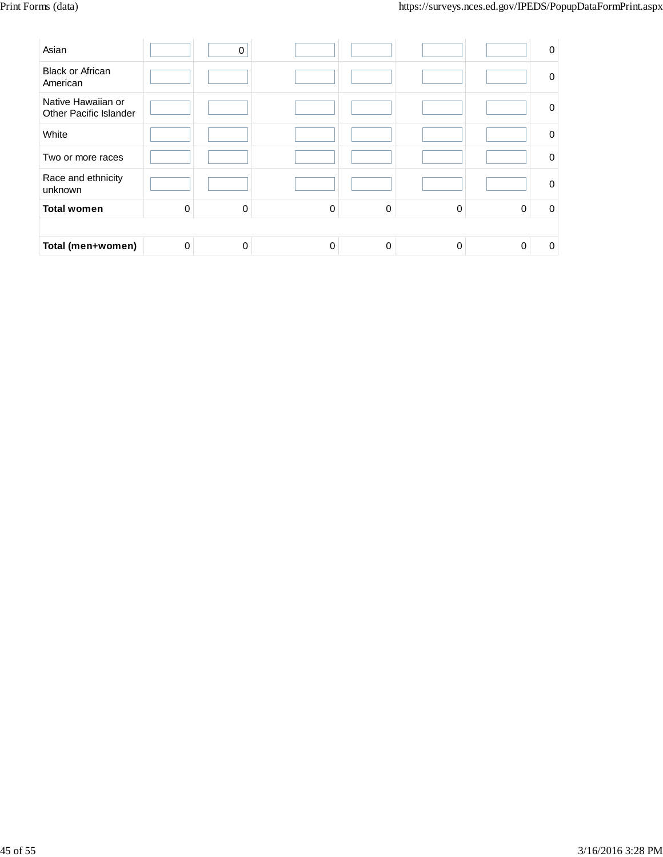| Asian                                        |          | 0        |   |   |          |          | 0           |
|----------------------------------------------|----------|----------|---|---|----------|----------|-------------|
| <b>Black or African</b><br>American          |          |          |   |   |          |          | $\mathbf 0$ |
| Native Hawaiian or<br>Other Pacific Islander |          |          |   |   |          |          | $\mathbf 0$ |
| White                                        |          |          |   |   |          |          | 0           |
| Two or more races                            |          |          |   |   |          |          | $\Omega$    |
| Race and ethnicity<br>unknown                |          |          |   |   |          |          | $\mathbf 0$ |
| <b>Total women</b>                           | $\Omega$ | $\Omega$ | 0 | 0 | $\Omega$ | $\Omega$ | $\Omega$    |
|                                              |          |          |   |   |          |          |             |
| Total (men+women)                            | $\Omega$ | 0        | 0 | 0 | 0        | 0        | 0           |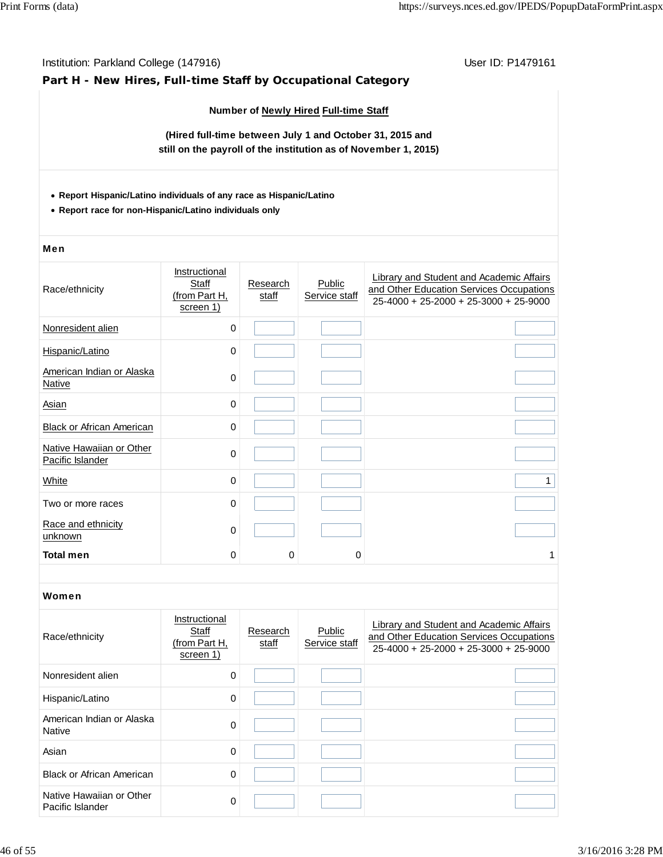## Institution: Parkland College (147916) November 2012 12: P1479161 **Part H - New Hires, Full-time Staff by Occupational Category Number of Newly Hired Full-time Staff (Hired full-time between July 1 and October 31, 2015 and still on the payroll of the institution as of November 1, 2015) Report Hispanic/Latino individuals of any race as Hispanic/Latino Report race for non-Hispanic/Latino individuals only** Men Race/ethnicity **Instructional Staff** (from Part H, screen 1) **Research** staff **Public** Service staff Library and Student and Academic Affairs and Other Education Services Occupations 25-4000 + 25-2000 + 25-3000 + 25-9000 Nonresident alien 0 Hispanic/Latino 0 American Indian or Alaska Native<sup>0</sup> Asian 0 Black or African American **Dividends** 0 Native Hawaiian or Other Pacific Islander **Different Contract Contract Contract Contract Contract Contract Contract Contract Contract Contract Contract Contract Contract Contract Contract Contract Contract Contract Contract Contract Contract Contr**  $\begin{array}{cccccccccccccc} \text{White} & & & & & & 0 & & & & \end{array}$ Two or more races and the control of the control of the control of the control of the control of the control of the control of the control of the control of the control of the control of the control of the control of the c Race and ethnicity  $\frac{R \cdot \text{ac}}{\text{unknown}}$  0 **Total men** 0 0 0 1 Women Race/ethnicity **Instructional Staff** (from Part H, screen 1) **Research** staff **Public** Service staff Library and Student and Academic Affairs and Other Education Services Occupations 25-4000 + 25-2000 + 25-3000 + 25-9000 Nonresident alien 0 Hispanic/Latino 0 American Indian or Alaska American indian of Alaska<br>Native 0 Asian 0 Black or African American **0** 0 Native Hawaiian or Other Pacific Islander 0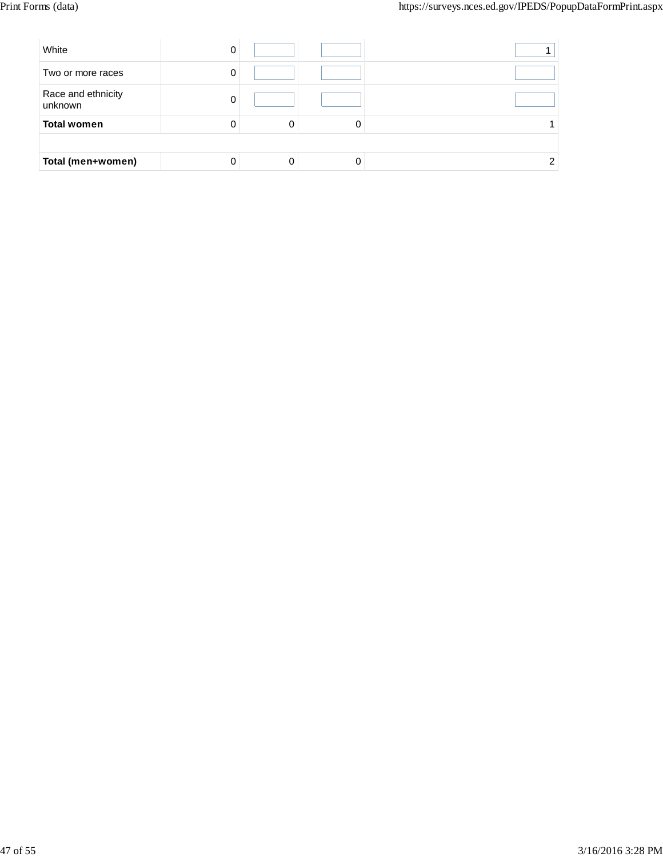| White                         |   |  |
|-------------------------------|---|--|
| Two or more races             |   |  |
| Race and ethnicity<br>unknown |   |  |
| <b>Total women</b>            | 0 |  |
|                               |   |  |
| Total (men+women)             |   |  |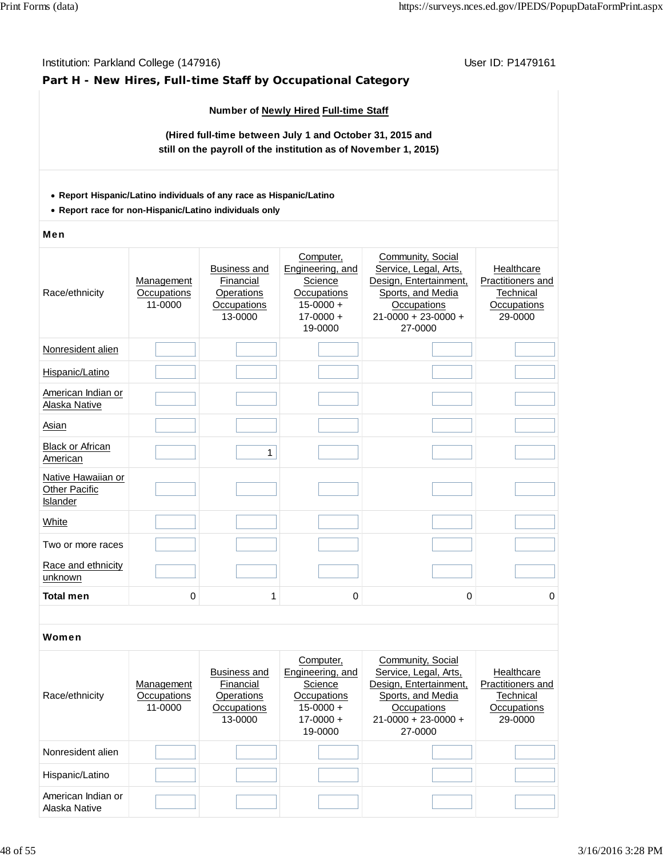## **Part H - New Hires, Full-time Staff by Occupational Category**

## **Number of Newly Hired Full-time Staff**

**(Hired full-time between July 1 and October 31, 2015 and still on the payroll of the institution as of November 1, 2015)**

## **Report Hispanic/Latino individuals of any race as Hispanic/Latino**

**Report race for non-Hispanic/Latino individuals only**

#### Men

| Race/ethnicity                                         | <b>Management</b><br>Occupations<br>11-0000 | <b>Business and</b><br>Financial<br>Operations<br>Occupations<br>13-0000 | Computer,<br>Engineering, and<br>Science<br>Occupations<br>$15 - 0000 +$<br>$17 - 0000 +$<br>19-0000 | Community, Social<br>Service, Legal, Arts,<br>Design, Entertainment,<br>Sports, and Media<br>Occupations<br>$21 - 0000 + 23 - 0000 +$<br>27-0000 | Healthcare<br>Practitioners and<br>Technical<br>Occupations<br>29-0000 |
|--------------------------------------------------------|---------------------------------------------|--------------------------------------------------------------------------|------------------------------------------------------------------------------------------------------|--------------------------------------------------------------------------------------------------------------------------------------------------|------------------------------------------------------------------------|
| Nonresident alien                                      |                                             |                                                                          |                                                                                                      |                                                                                                                                                  |                                                                        |
| Hispanic/Latino                                        |                                             |                                                                          |                                                                                                      |                                                                                                                                                  |                                                                        |
| American Indian or<br>Alaska Native                    |                                             |                                                                          |                                                                                                      |                                                                                                                                                  |                                                                        |
| Asian                                                  |                                             |                                                                          |                                                                                                      |                                                                                                                                                  |                                                                        |
| <b>Black or African</b><br>American                    |                                             | 1                                                                        |                                                                                                      |                                                                                                                                                  |                                                                        |
| Native Hawaiian or<br><b>Other Pacific</b><br>Islander |                                             |                                                                          |                                                                                                      |                                                                                                                                                  |                                                                        |
| White                                                  |                                             |                                                                          |                                                                                                      |                                                                                                                                                  |                                                                        |
| Two or more races                                      |                                             |                                                                          |                                                                                                      |                                                                                                                                                  |                                                                        |
| Race and ethnicity<br>unknown                          |                                             |                                                                          |                                                                                                      |                                                                                                                                                  |                                                                        |
| <b>Total men</b>                                       | 0                                           | 1                                                                        | 0                                                                                                    | 0                                                                                                                                                | 0                                                                      |
|                                                        |                                             |                                                                          |                                                                                                      |                                                                                                                                                  |                                                                        |
| ,,,,                                                   |                                             |                                                                          |                                                                                                      |                                                                                                                                                  |                                                                        |

| Race/ethnicity                      | Management<br>Occupations<br>11-0000 | Business and<br>Financial<br>Operations<br>Occupations<br>13-0000 | Computer,<br>Engineering, and<br>Science<br>Occupations<br>$15-0000 +$<br>$17 - 0000 +$<br>19-0000 | Community, Social<br>Service, Legal, Arts,<br>Design, Entertainment,<br>Sports, and Media<br>Occupations<br>$21 - 0000 + 23 - 0000 +$<br>27-0000 | Healthcare<br>Practitioners and<br>Technical<br>Occupations<br>29-0000 |
|-------------------------------------|--------------------------------------|-------------------------------------------------------------------|----------------------------------------------------------------------------------------------------|--------------------------------------------------------------------------------------------------------------------------------------------------|------------------------------------------------------------------------|
| Nonresident alien                   |                                      |                                                                   |                                                                                                    |                                                                                                                                                  |                                                                        |
| Hispanic/Latino                     |                                      |                                                                   |                                                                                                    |                                                                                                                                                  |                                                                        |
| American Indian or<br>Alaska Native |                                      |                                                                   |                                                                                                    |                                                                                                                                                  |                                                                        |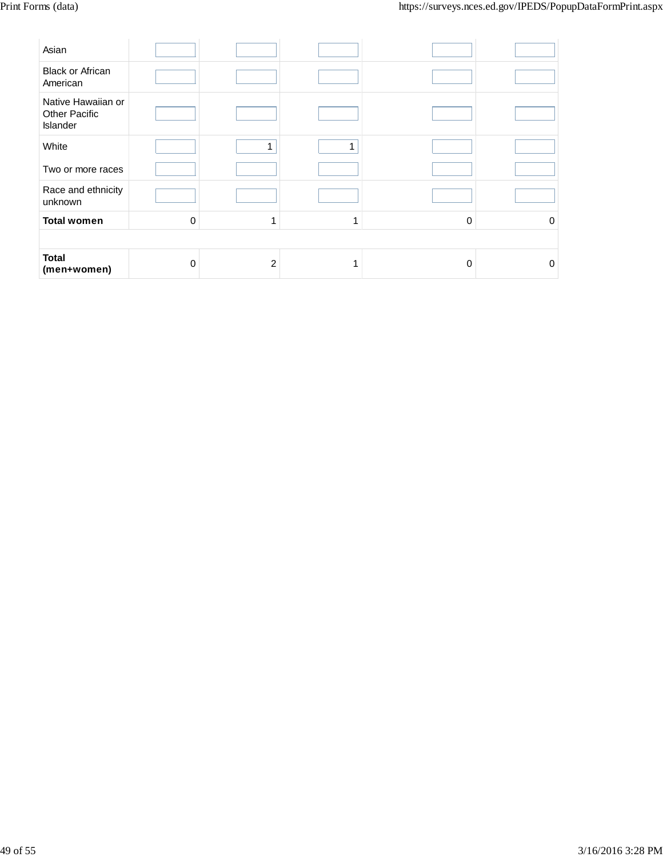| Asian                                                  |             |   |              |   |          |
|--------------------------------------------------------|-------------|---|--------------|---|----------|
| <b>Black or African</b><br>American                    |             |   |              |   |          |
| Native Hawaiian or<br><b>Other Pacific</b><br>Islander |             |   |              |   |          |
| White                                                  |             | 1 | $\mathbf{1}$ |   |          |
| Two or more races                                      |             |   |              |   |          |
| Race and ethnicity<br>unknown                          |             |   |              |   |          |
| <b>Total women</b>                                     | $\mathbf 0$ | 1 | ٠            | 0 | $\Omega$ |
|                                                        |             |   |              |   |          |
| <b>Total</b><br>(men+women)                            | 0           | 2 |              | 0 | $\Omega$ |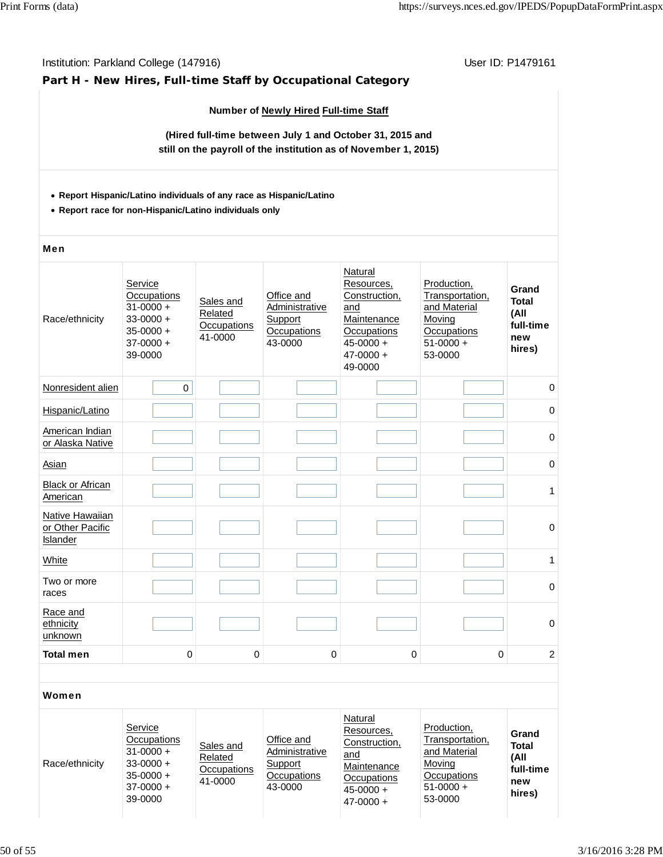## **Part H - New Hires, Full-time Staff by Occupational Category**

## **Number of Newly Hired Full-time Staff**

**(Hired full-time between July 1 and October 31, 2015 and still on the payroll of the institution as of November 1, 2015)**

## **Report Hispanic/Latino individuals of any race as Hispanic/Latino**

**Report race for non-Hispanic/Latino individuals only**

## Men

| Race/ethnicity                                  | Service<br>Occupations<br>$31 - 0000 +$<br>$33 - 0000 +$<br>$35 - 0000 +$<br>$37 - 0000 +$<br>39-0000 | Sales and<br>Related<br>Occupations<br>41-0000 | Office and<br>Administrative<br>Support<br>Occupations<br>43-0000 | Natural<br>Resources,<br>Construction,<br>and<br>Maintenance<br>Occupations<br>$45 - 0000 +$<br>$47 - 0000 +$<br>49-0000 | Production,<br>Transportation,<br>and Material<br>Moving<br>Occupations<br>$51-0000 +$<br>53-0000 | Grand<br><b>Total</b><br>(All<br>full-time<br>new<br>hires) |
|-------------------------------------------------|-------------------------------------------------------------------------------------------------------|------------------------------------------------|-------------------------------------------------------------------|--------------------------------------------------------------------------------------------------------------------------|---------------------------------------------------------------------------------------------------|-------------------------------------------------------------|
| Nonresident alien                               | $\mathbf 0$                                                                                           |                                                |                                                                   |                                                                                                                          |                                                                                                   | 0                                                           |
| Hispanic/Latino                                 |                                                                                                       |                                                |                                                                   |                                                                                                                          |                                                                                                   | $\mathbf 0$                                                 |
| American Indian<br>or Alaska Native             |                                                                                                       |                                                |                                                                   |                                                                                                                          |                                                                                                   | 0                                                           |
| Asian                                           |                                                                                                       |                                                |                                                                   |                                                                                                                          |                                                                                                   | 0                                                           |
| <b>Black or African</b><br>American             |                                                                                                       |                                                |                                                                   |                                                                                                                          |                                                                                                   | 1                                                           |
| Native Hawaiian<br>or Other Pacific<br>Islander |                                                                                                       |                                                |                                                                   |                                                                                                                          |                                                                                                   | $\mathbf 0$                                                 |
| White                                           |                                                                                                       |                                                |                                                                   |                                                                                                                          |                                                                                                   | $\mathbf{1}$                                                |
| Two or more<br>races                            |                                                                                                       |                                                |                                                                   |                                                                                                                          |                                                                                                   | $\pmb{0}$                                                   |
| Race and<br>ethnicity<br>unknown                |                                                                                                       |                                                |                                                                   |                                                                                                                          |                                                                                                   | $\pmb{0}$                                                   |
| <b>Total men</b>                                | $\mathbf 0$                                                                                           | 0                                              | 0                                                                 | 0                                                                                                                        | $\mathbf 0$                                                                                       | $\overline{c}$                                              |
| Women                                           |                                                                                                       |                                                |                                                                   |                                                                                                                          |                                                                                                   |                                                             |

| Race/ethnicity | Service<br>Occupations<br>$31 - 0000 +$<br>$33 - 0000 +$<br>$35 - 0000 +$<br>$37-0000 +$<br>39-0000 | Sales and<br>Related<br>Occupations<br>41-0000 | Office and<br>Administrative<br>Support<br>Occupations<br>43-0000 | Natural<br>Resources.<br>Construction,<br>and<br>Maintenance<br>Occupations<br>$45 - 0000 +$<br>$47 - 0000 +$ | Production,<br>Transportation,<br>and Material<br>Moving<br>Occupations<br>$51-0000 +$<br>53-0000 | Grand<br><b>Total</b><br>(All<br>full-time<br>new<br>hires) |
|----------------|-----------------------------------------------------------------------------------------------------|------------------------------------------------|-------------------------------------------------------------------|---------------------------------------------------------------------------------------------------------------|---------------------------------------------------------------------------------------------------|-------------------------------------------------------------|
|----------------|-----------------------------------------------------------------------------------------------------|------------------------------------------------|-------------------------------------------------------------------|---------------------------------------------------------------------------------------------------------------|---------------------------------------------------------------------------------------------------|-------------------------------------------------------------|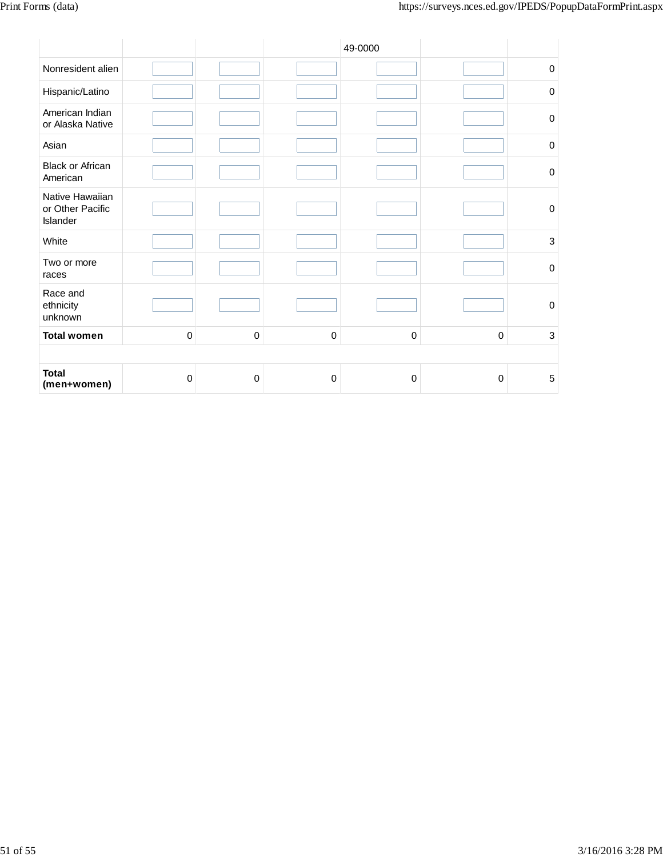|                                                 |             |             |             | 49-0000     |                  |                  |
|-------------------------------------------------|-------------|-------------|-------------|-------------|------------------|------------------|
| Nonresident alien                               |             |             |             |             |                  | $\pmb{0}$        |
| Hispanic/Latino                                 |             |             |             |             |                  | $\boldsymbol{0}$ |
| American Indian<br>or Alaska Native             |             |             |             |             |                  | $\mathbf 0$      |
| Asian                                           |             |             |             |             |                  | $\mathbf 0$      |
| <b>Black or African</b><br>American             |             |             |             |             |                  | $\boldsymbol{0}$ |
| Native Hawaiian<br>or Other Pacific<br>Islander |             |             |             |             |                  | $\boldsymbol{0}$ |
| White                                           |             |             |             |             |                  | $\mathbf{3}$     |
| Two or more<br>races                            |             |             |             |             |                  | $\boldsymbol{0}$ |
| Race and<br>ethnicity<br>unknown                |             |             |             |             |                  | $\boldsymbol{0}$ |
| <b>Total women</b>                              | $\mathbf 0$ | $\mathbf 0$ | $\mathbf 0$ | $\mathbf 0$ | $\mathbf 0$      | $\mathbf{3}$     |
|                                                 |             |             |             |             |                  |                  |
| <b>Total</b><br>(men+women)                     | 0           | $\mathbf 0$ | 0           | 0           | $\boldsymbol{0}$ | $\mathbf 5$      |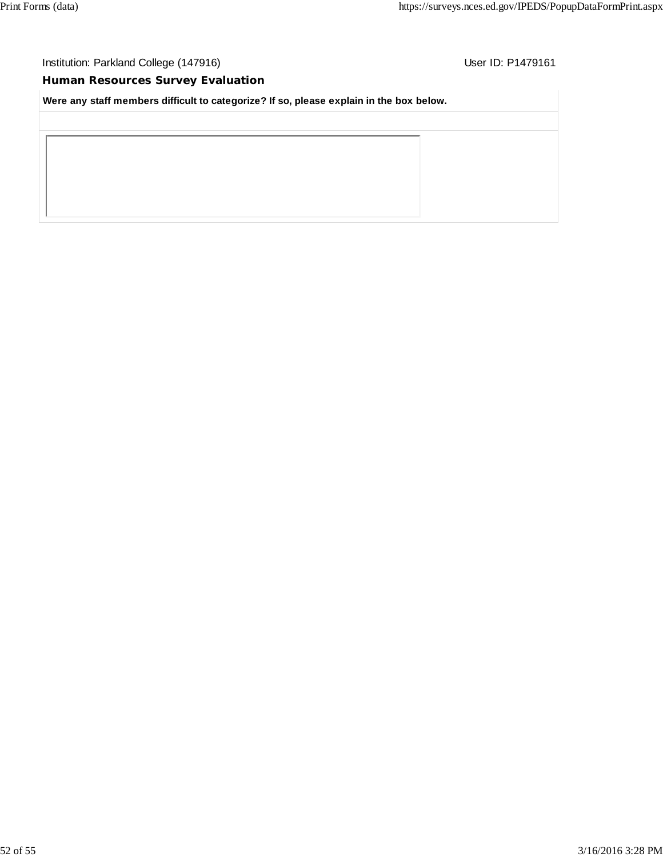Institution: Parkland College (147916) **User ID: P1479161** User ID: P1479161

## **Human Resources Survey Evaluation**

**Were any staff members difficult to categorize? If so, please explain in the box below.**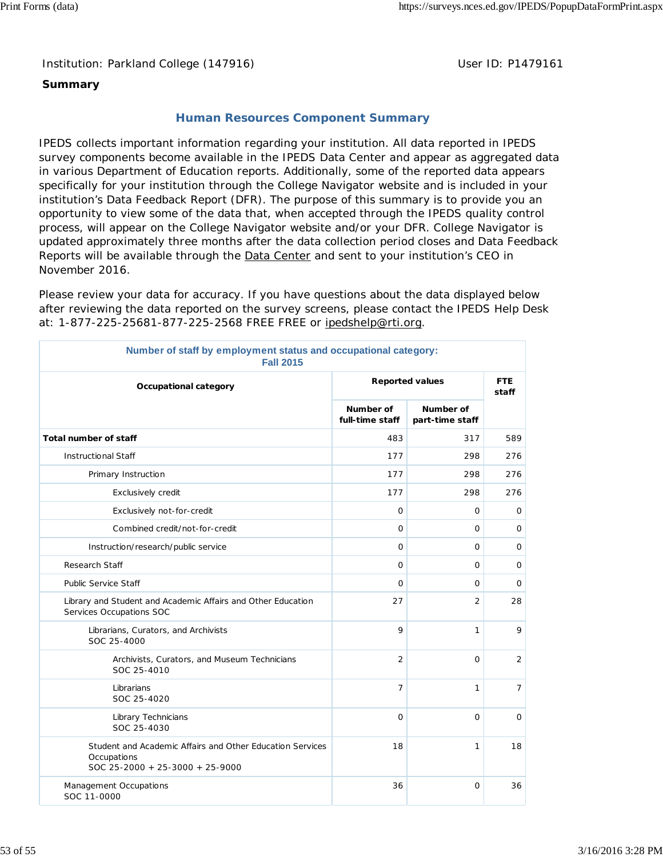Institution: Parkland College (147916) **Distribution: Parkland College (1479161** College College College College College College College College College College College College College College College College College Colle

## **Summary**

## **Human Resources Component Summary**

IPEDS collects important information regarding your institution. All data reported in IPEDS survey components become available in the IPEDS Data Center and appear as aggregated data in various Department of Education reports. Additionally, some of the reported data appears specifically for your institution through the College Navigator website and is included in your institution's Data Feedback Report (DFR). The purpose of this summary is to provide you an opportunity to view some of the data that, when accepted through the IPEDS quality control process, will appear on the College Navigator website and/or your DFR. College Navigator is updated approximately three months after the data collection period closes and Data Feedback Reports will be available through the **Data Center** and sent to your institution's CEO in November 2016.

Please review your data for accuracy. If you have questions about the data displayed below after reviewing the data reported on the survey screens, please contact the IPEDS Help Desk at: 1-877-225-25681-877-225-2568 FREE FREE or ipedshelp@rti.org.

| Number of staff by employment status and occupational category:<br><b>Fall 2015</b>                         |                              |                              |                |  |  |  |
|-------------------------------------------------------------------------------------------------------------|------------------------------|------------------------------|----------------|--|--|--|
| Occupational category                                                                                       |                              | <b>Reported values</b>       |                |  |  |  |
|                                                                                                             | Number of<br>full-time staff | Number of<br>part-time staff |                |  |  |  |
| <b>Total number of staff</b>                                                                                | 483                          | 317                          | 589            |  |  |  |
| <b>Instructional Staff</b>                                                                                  | 177                          | 298                          | 276            |  |  |  |
| Primary Instruction                                                                                         | 177                          | 298                          | 276            |  |  |  |
| Exclusively credit                                                                                          | 177                          | 298                          | 276            |  |  |  |
| Exclusively not-for-credit                                                                                  | $\mathbf 0$                  | $\mathbf 0$                  | 0              |  |  |  |
| Combined credit/not-for-credit                                                                              | $\mathsf{O}$                 | $\circ$                      | 0              |  |  |  |
| Instruction/research/public service                                                                         | $\mathbf 0$                  | 0                            | 0              |  |  |  |
| <b>Research Staff</b>                                                                                       | $\circ$                      | 0                            | 0              |  |  |  |
| <b>Public Service Staff</b>                                                                                 | $\mathbf 0$                  | $\mathsf{O}$                 | 0              |  |  |  |
| Library and Student and Academic Affairs and Other Education<br>Services Occupations SOC                    | 27                           | $\overline{2}$               | 28             |  |  |  |
| Librarians, Curators, and Archivists<br>SOC 25-4000                                                         | 9                            | $\mathbf{1}$                 | 9              |  |  |  |
| Archivists, Curators, and Museum Technicians<br>SOC 25-4010                                                 | $\overline{2}$               | $\circ$                      | $\overline{2}$ |  |  |  |
| Librarians<br>SOC 25-4020                                                                                   | $\overline{7}$               | 1                            | $\overline{7}$ |  |  |  |
| Library Technicians<br>SOC 25-4030                                                                          | $\circ$                      | $\Omega$                     | $\mathbf 0$    |  |  |  |
| Student and Academic Affairs and Other Education Services<br>Occupations<br>SOC 25-2000 + 25-3000 + 25-9000 | 18                           | 1                            | 18             |  |  |  |
| Management Occupations<br>SOC 11-0000                                                                       | 36                           | $\circ$                      | 36             |  |  |  |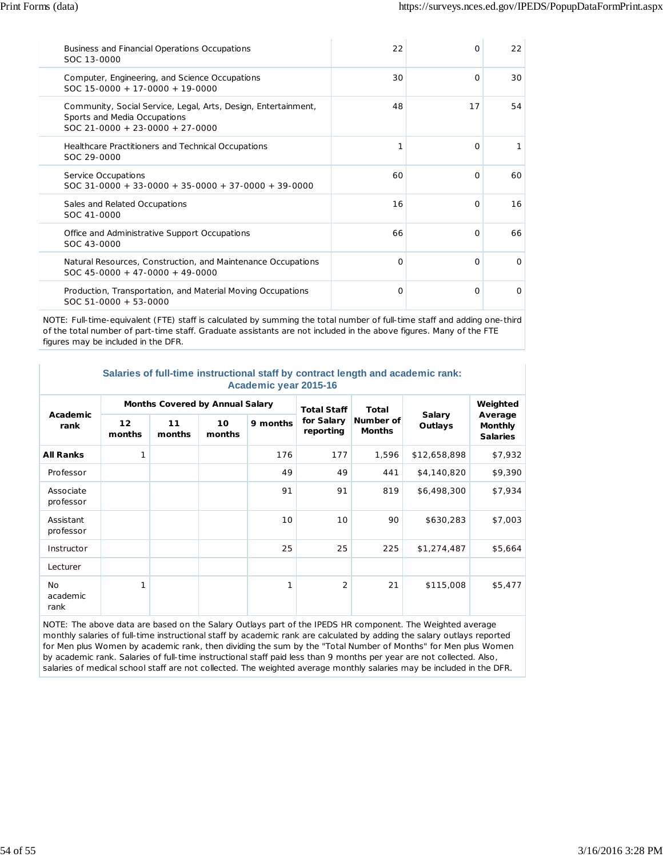| Business and Financial Operations Occupations<br>SOC 13-0000                                                                      | 22 | $\Omega$ | 22       |
|-----------------------------------------------------------------------------------------------------------------------------------|----|----------|----------|
| Computer, Engineering, and Science Occupations<br>$SOC 15-0000 + 17-0000 + 19-0000$                                               | 30 | $\Omega$ | 30       |
| Community, Social Service, Legal, Arts, Design, Entertainment,<br>Sports and Media Occupations<br>SOC 21-0000 + 23-0000 + 27-0000 | 48 | 17       | 54       |
| Healthcare Practitioners and Technical Occupations<br>SOC 29-0000                                                                 | 1  | $\Omega$ |          |
| Service Occupations<br>$SOC$ 31-0000 + 33-0000 + 35-0000 + 37-0000 + 39-0000                                                      | 60 | $\Omega$ | 60       |
| Sales and Related Occupations<br>SOC 41-0000                                                                                      | 16 | $\Omega$ | 16       |
| Office and Administrative Support Occupations<br>SOC 43-0000                                                                      | 66 | $\Omega$ | 66       |
| Natural Resources, Construction, and Maintenance Occupations<br>$SOC$ 45-0000 + 47-0000 + 49-0000                                 | O  | $\Omega$ | $\Omega$ |
| Production, Transportation, and Material Moving Occupations<br>$SOC 51-0000 + 53-0000$                                            | O  | $\Omega$ | $\Omega$ |

NOTE: Full-time-equivalent (FTE) staff is calculated by summing the total number of full-time staff and adding one-third of the total number of part-time staff. Graduate assistants are not included in the above figures. Many of the FTE figures may be included in the DFR.

| Salaries of full-time instructional staff by contract length and academic rank: |
|---------------------------------------------------------------------------------|
| Academic year 2015-16                                                           |

| Academic<br>rank              | <b>Months Covered by Annual Salary</b> |              |              |          | <b>Total Staff</b>      | <b>Total</b>               |                          | Weighted                                     |
|-------------------------------|----------------------------------------|--------------|--------------|----------|-------------------------|----------------------------|--------------------------|----------------------------------------------|
|                               | 12<br>months                           | 11<br>months | 10<br>months | 9 months | for Salary<br>reporting | Number of<br><b>Months</b> | <b>Salary</b><br>Outlays | Average<br><b>Monthly</b><br><b>Salaries</b> |
| <b>All Ranks</b>              | 1                                      |              |              | 176      | 177                     | 1,596                      | \$12,658,898             | \$7,932                                      |
| Professor                     |                                        |              |              | 49       | 49                      | 441                        | \$4,140,820              | \$9,390                                      |
| Associate<br>professor        |                                        |              |              | 91       | 91                      | 819                        | \$6,498,300              | \$7,934                                      |
| Assistant<br>professor        |                                        |              |              | 10       | 10                      | 90                         | \$630,283                | \$7,003                                      |
| Instructor                    |                                        |              |              | 25       | 25                      | 225                        | \$1,274,487              | \$5,664                                      |
| Lecturer                      |                                        |              |              |          |                         |                            |                          |                                              |
| <b>No</b><br>academic<br>rank | 1                                      |              |              | 1        | $\overline{2}$          | 21                         | \$115,008                | \$5,477                                      |

NOTE: The above data are based on the Salary Outlays part of the IPEDS HR component. The Weighted average monthly salaries of full-time instructional staff by academic rank are calculated by adding the salary outlays reported for Men plus Women by academic rank, then dividing the sum by the "Total Number of Months" for Men plus Women by academic rank. Salaries of full-time instructional staff paid less than 9 months per year are not collected. Also, salaries of medical school staff are not collected. The weighted average monthly salaries may be included in the DFR.